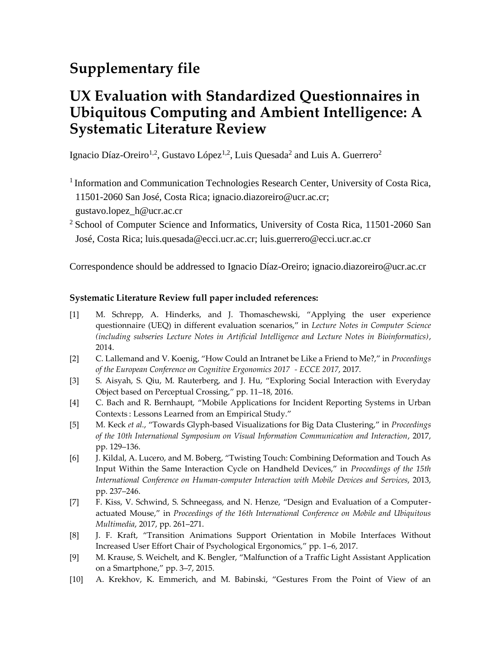## **Supplementary file**

## **UX Evaluation with Standardized Questionnaires in Ubiquitous Computing and Ambient Intelligence: A Systematic Literature Review**

Ignacio Díaz-Oreiro<sup>1,2</sup>, Gustavo López<sup>1,2</sup>, Luis Quesada<sup>2</sup> and Luis A. Guerrero<sup>2</sup>

<sup>1</sup> Information and Communication Technologies Research Center, University of Costa Rica, 11501-2060 San José, Costa Rica; ignacio.diazoreiro@ucr.ac.cr;

gustavo.lopez\_h@ucr.ac.cr

<sup>2</sup> School of Computer Science and Informatics, University of Costa Rica, 11501-2060 San José, Costa Rica; luis.quesada@ecci.ucr.ac.cr; [luis.guerrero@ecci.ucr.ac.cr](mailto:luis.guerrero@ecci.ucr.ac.cr)

Correspondence should be addressed to Ignacio Díaz-Oreiro; ignacio.diazoreiro@ucr.ac.cr

## **Systematic Literature Review full paper included references:**

- [1] M. Schrepp, A. Hinderks, and J. Thomaschewski, "Applying the user experience questionnaire (UEQ) in different evaluation scenarios," in *Lecture Notes in Computer Science (including subseries Lecture Notes in Artificial Intelligence and Lecture Notes in Bioinformatics)*, 2014.
- [2] C. Lallemand and V. Koenig, "How Could an Intranet be Like a Friend to Me?," in *Proceedings of the European Conference on Cognitive Ergonomics 2017 - ECCE 2017*, 2017.
- [3] S. Aisyah, S. Qiu, M. Rauterberg, and J. Hu, "Exploring Social Interaction with Everyday Object based on Perceptual Crossing," pp. 11–18, 2016.
- [4] C. Bach and R. Bernhaupt, "Mobile Applications for Incident Reporting Systems in Urban Contexts : Lessons Learned from an Empirical Study."
- [5] M. Keck *et al.*, "Towards Glyph-based Visualizations for Big Data Clustering," in *Proceedings of the 10th International Symposium on Visual Information Communication and Interaction*, 2017, pp. 129–136.
- [6] J. Kildal, A. Lucero, and M. Boberg, "Twisting Touch: Combining Deformation and Touch As Input Within the Same Interaction Cycle on Handheld Devices," in *Proceedings of the 15th International Conference on Human-computer Interaction with Mobile Devices and Services*, 2013, pp. 237–246.
- [7] F. Kiss, V. Schwind, S. Schneegass, and N. Henze, "Design and Evaluation of a Computeractuated Mouse," in *Proceedings of the 16th International Conference on Mobile and Ubiquitous Multimedia*, 2017, pp. 261–271.
- [8] J. F. Kraft, "Transition Animations Support Orientation in Mobile Interfaces Without Increased User Effort Chair of Psychological Ergonomics," pp. 1–6, 2017.
- [9] M. Krause, S. Weichelt, and K. Bengler, "Malfunction of a Traffic Light Assistant Application on a Smartphone," pp. 3–7, 2015.
- [10] A. Krekhov, K. Emmerich, and M. Babinski, "Gestures From the Point of View of an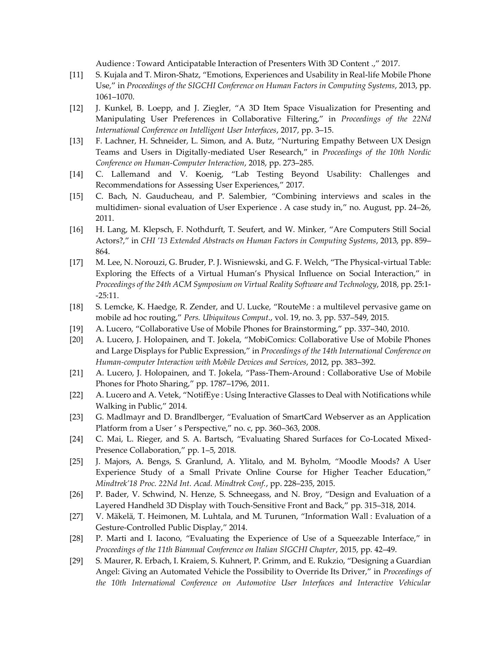Audience : Toward Anticipatable Interaction of Presenters With 3D Content .," 2017.

- [11] S. Kujala and T. Miron-Shatz, "Emotions, Experiences and Usability in Real-life Mobile Phone Use," in *Proceedings of the SIGCHI Conference on Human Factors in Computing Systems*, 2013, pp. 1061–1070.
- [12] J. Kunkel, B. Loepp, and J. Ziegler, "A 3D Item Space Visualization for Presenting and Manipulating User Preferences in Collaborative Filtering," in *Proceedings of the 22Nd International Conference on Intelligent User Interfaces*, 2017, pp. 3–15.
- [13] F. Lachner, H. Schneider, L. Simon, and A. Butz, "Nurturing Empathy Between UX Design Teams and Users in Digitally-mediated User Research," in *Proceedings of the 10th Nordic Conference on Human-Computer Interaction*, 2018, pp. 273–285.
- [14] C. Lallemand and V. Koenig, "Lab Testing Beyond Usability: Challenges and Recommendations for Assessing User Experiences," 2017.
- [15] C. Bach, N. Gauducheau, and P. Salembier, "Combining interviews and scales in the multidimen- sional evaluation of User Experience . A case study in," no. August, pp. 24–26, 2011.
- [16] H. Lang, M. Klepsch, F. Nothdurft, T. Seufert, and W. Minker, "Are Computers Still Social Actors?," in *CHI '13 Extended Abstracts on Human Factors in Computing Systems*, 2013, pp. 859– 864.
- [17] M. Lee, N. Norouzi, G. Bruder, P. J. Wisniewski, and G. F. Welch, "The Physical-virtual Table: Exploring the Effects of a Virtual Human's Physical Influence on Social Interaction," in *Proceedings of the 24th ACM Symposium on Virtual Reality Software and Technology*, 2018, pp. 25:1- -25:11.
- [18] S. Lemcke, K. Haedge, R. Zender, and U. Lucke, "RouteMe : a multilevel pervasive game on mobile ad hoc routing," *Pers. Ubiquitous Comput.*, vol. 19, no. 3, pp. 537–549, 2015.
- [19] A. Lucero, "Collaborative Use of Mobile Phones for Brainstorming," pp. 337–340, 2010.
- [20] A. Lucero, J. Holopainen, and T. Jokela, "MobiComics: Collaborative Use of Mobile Phones and Large Displays for Public Expression," in *Proceedings of the 14th International Conference on Human-computer Interaction with Mobile Devices and Services*, 2012, pp. 383–392.
- [21] A. Lucero, J. Holopainen, and T. Jokela, "Pass-Them-Around : Collaborative Use of Mobile Phones for Photo Sharing," pp. 1787–1796, 2011.
- [22] A. Lucero and A. Vetek, "NotifEye : Using Interactive Glasses to Deal with Notifications while Walking in Public," 2014.
- [23] G. Madlmayr and D. Brandlberger, "Evaluation of SmartCard Webserver as an Application Platform from a User ' s Perspective," no. c, pp. 360–363, 2008.
- [24] C. Mai, L. Rieger, and S. A. Bartsch, "Evaluating Shared Surfaces for Co-Located Mixed-Presence Collaboration," pp. 1–5, 2018.
- [25] J. Majors, A. Bengs, S. Granlund, A. Ylitalo, and M. Byholm, "Moodle Moods? A User Experience Study of a Small Private Online Course for Higher Teacher Education," *Mindtrek'18 Proc. 22Nd Int. Acad. Mindtrek Conf.*, pp. 228–235, 2015.
- [26] P. Bader, V. Schwind, N. Henze, S. Schneegass, and N. Broy, "Design and Evaluation of a Layered Handheld 3D Display with Touch-Sensitive Front and Back," pp. 315–318, 2014.
- [27] V. Mäkelä, T. Heimonen, M. Luhtala, and M. Turunen, "Information Wall : Evaluation of a Gesture-Controlled Public Display," 2014.
- [28] P. Marti and I. Iacono, "Evaluating the Experience of Use of a Squeezable Interface," in *Proceedings of the 11th Biannual Conference on Italian SIGCHI Chapter*, 2015, pp. 42–49.
- [29] S. Maurer, R. Erbach, I. Kraiem, S. Kuhnert, P. Grimm, and E. Rukzio, "Designing a Guardian Angel: Giving an Automated Vehicle the Possibility to Override Its Driver," in *Proceedings of the 10th International Conference on Automotive User Interfaces and Interactive Vehicular*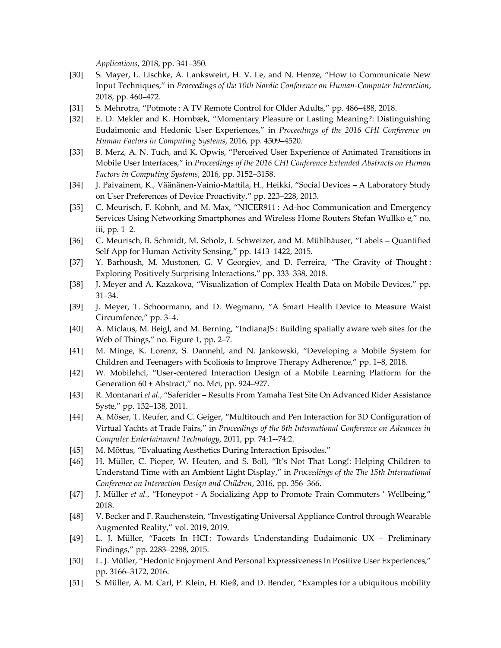*Applications*, 2018, pp. 341–350.

- [30] S. Mayer, L. Lischke, A. Lanksweirt, H. V. Le, and N. Henze, "How to Communicate New Input Techniques," in *Proceedings of the 10th Nordic Conference on Human-Computer Interaction*, 2018, pp. 460–472.
- [31] S. Mehrotra, "Potmote : A TV Remote Control for Older Adults," pp. 486–488, 2018.
- [32] E. D. Mekler and K. Hornbæk, "Momentary Pleasure or Lasting Meaning?: Distinguishing Eudaimonic and Hedonic User Experiences," in *Proceedings of the 2016 CHI Conference on Human Factors in Computing Systems*, 2016, pp. 4509–4520.
- [33] B. Merz, A. N. Tuch, and K. Opwis, "Perceived User Experience of Animated Transitions in Mobile User Interfaces," in *Proceedings of the 2016 CHI Conference Extended Abstracts on Human Factors in Computing Systems*, 2016, pp. 3152–3158.
- [34] J. Paivainem, K., Väänänen-Vainio-Mattila, H., Heikki, "Social Devices A Laboratory Study on User Preferences of Device Proactivity," pp. 223–228, 2013.
- [35] C. Meurisch, F. Kohnh, and M. Max, "NICER911 : Ad-hoc Communication and Emergency Services Using Networking Smartphones and Wireless Home Routers Stefan Wullko e," no. iii, pp. 1–2.
- [36] C. Meurisch, B. Schmidt, M. Scholz, I. Schweizer, and M. Mühlhäuser, "Labels Quantified Self App for Human Activity Sensing," pp. 1413–1422, 2015.
- [37] Y. Barhoush, M. Mustonen, G. V Georgiev, and D. Ferreira, "The Gravity of Thought : Exploring Positively Surprising Interactions," pp. 333–338, 2018.
- [38] J. Meyer and A. Kazakova, "Visualization of Complex Health Data on Mobile Devices," pp. 31–34.
- [39] J. Meyer, T. Schoormann, and D. Wegmann, "A Smart Health Device to Measure Waist Circumfence," pp. 3–4.
- [40] A. Miclaus, M. Beigl, and M. Berning, "IndianaJS : Building spatially aware web sites for the Web of Things," no. Figure 1, pp. 2–7.
- [41] M. Minge, K. Lorenz, S. Dannehl, and N. Jankowski, "Developing a Mobile System for Children and Teenagers with Scoliosis to Improve Therapy Adherence," pp. 1–8, 2018.
- [42] W. Mobilehci, "User-centered Interaction Design of a Mobile Learning Platform for the Generation 60 + Abstract," no. Mci, pp. 924–927.
- [43] R. Montanari *et al.*, "Saferider Results From Yamaha Test Site On Advanced Rider Assistance Syste," pp. 132–138, 2011.
- [44] A. Möser, T. Reufer, and C. Geiger, "Multitouch and Pen Interaction for 3D Configuration of Virtual Yachts at Trade Fairs," in *Proceedings of the 8th International Conference on Advances in Computer Entertainment Technology*, 2011, pp. 74:1--74:2.
- [45] M. Mõttus, "Evaluating Aesthetics During Interaction Episodes."
- [46] H. Müller, C. Pieper, W. Heuten, and S. Boll, "It's Not That Long!: Helping Children to Understand Time with an Ambient Light Display," in *Proceedings of the The 15th International Conference on Interaction Design and Children*, 2016, pp. 356–366.
- [47] J. Müller *et al.*, "Honeypot A Socializing App to Promote Train Commuters ' Wellbeing," 2018.
- [48] V. Becker and F. Rauchenstein, "Investigating Universal Appliance Control through Wearable Augmented Reality," vol. 2019, 2019.
- [49] L. J. Müller, "Facets In HCI : Towards Understanding Eudaimonic UX Preliminary Findings," pp. 2283–2288, 2015.
- [50] L. J. Müller, "Hedonic Enjoyment And Personal Expressiveness In Positive User Experiences," pp. 3166–3172, 2016.
- [51] S. Müller, A. M. Carl, P. Klein, H. Rieß, and D. Bender, "Examples for a ubiquitous mobility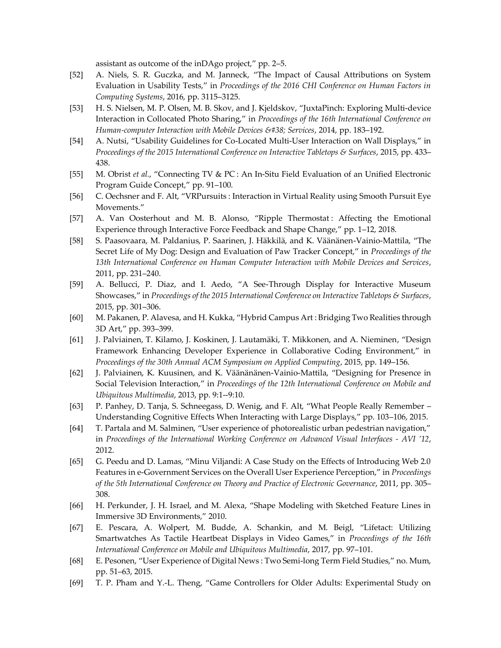assistant as outcome of the inDAgo project," pp. 2–5.

- [52] A. Niels, S. R. Guczka, and M. Janneck, "The Impact of Causal Attributions on System Evaluation in Usability Tests," in *Proceedings of the 2016 CHI Conference on Human Factors in Computing Systems*, 2016, pp. 3115–3125.
- [53] H. S. Nielsen, M. P. Olsen, M. B. Skov, and J. Kjeldskov, "JuxtaPinch: Exploring Multi-device Interaction in Collocated Photo Sharing," in *Proceedings of the 16th International Conference on Human-computer Interaction with Mobile Devices & Services, 2014, pp. 183-192.*
- [54] A. Nutsi, "Usability Guidelines for Co-Located Multi-User Interaction on Wall Displays," in *Proceedings of the 2015 International Conference on Interactive Tabletops & Surfaces*, 2015, pp. 433– 438.
- [55] M. Obrist *et al.*, "Connecting TV & PC : An In-Situ Field Evaluation of an Unified Electronic Program Guide Concept," pp. 91–100.
- [56] C. Oechsner and F. Alt, "VRPursuits : Interaction in Virtual Reality using Smooth Pursuit Eye Movements."
- [57] A. Van Oosterhout and M. B. Alonso, "Ripple Thermostat : Affecting the Emotional Experience through Interactive Force Feedback and Shape Change," pp. 1–12, 2018.
- [58] S. Paasovaara, M. Paldanius, P. Saarinen, J. Häkkilä, and K. Väänänen-Vainio-Mattila, "The Secret Life of My Dog: Design and Evaluation of Paw Tracker Concept," in *Proceedings of the 13th International Conference on Human Computer Interaction with Mobile Devices and Services*, 2011, pp. 231–240.
- [59] A. Bellucci, P. Diaz, and I. Aedo, "A See-Through Display for Interactive Museum Showcases," in *Proceedings of the 2015 International Conference on Interactive Tabletops & Surfaces*, 2015, pp. 301–306.
- [60] M. Pakanen, P. Alavesa, and H. Kukka, "Hybrid Campus Art : Bridging Two Realities through 3D Art," pp. 393–399.
- [61] J. Palviainen, T. Kilamo, J. Koskinen, J. Lautamäki, T. Mikkonen, and A. Nieminen, "Design Framework Enhancing Developer Experience in Collaborative Coding Environment," in *Proceedings of the 30th Annual ACM Symposium on Applied Computing*, 2015, pp. 149–156.
- [62] J. Palviainen, K. Kuusinen, and K. Väänänänen-Vainio-Mattila, "Designing for Presence in Social Television Interaction," in *Proceedings of the 12th International Conference on Mobile and Ubiquitous Multimedia*, 2013, pp. 9:1--9:10.
- [63] P. Panhey, D. Tanja, S. Schneegass, D. Wenig, and F. Alt, "What People Really Remember Understanding Cognitive Effects When Interacting with Large Displays," pp. 103–106, 2015.
- [64] T. Partala and M. Salminen, "User experience of photorealistic urban pedestrian navigation," in *Proceedings of the International Working Conference on Advanced Visual Interfaces - AVI '12*, 2012.
- [65] G. Peedu and D. Lamas, "Minu Viljandi: A Case Study on the Effects of Introducing Web 2.0 Features in e-Government Services on the Overall User Experience Perception," in *Proceedings of the 5th International Conference on Theory and Practice of Electronic Governance*, 2011, pp. 305– 308.
- [66] H. Perkunder, J. H. Israel, and M. Alexa, "Shape Modeling with Sketched Feature Lines in Immersive 3D Environments," 2010.
- [67] E. Pescara, A. Wolpert, M. Budde, A. Schankin, and M. Beigl, "Lifetact: Utilizing Smartwatches As Tactile Heartbeat Displays in Video Games," in *Proceedings of the 16th International Conference on Mobile and Ubiquitous Multimedia*, 2017, pp. 97–101.
- [68] E. Pesonen, "User Experience of Digital News : Two Semi-long Term Field Studies," no. Mum, pp. 51–63, 2015.
- [69] T. P. Pham and Y.-L. Theng, "Game Controllers for Older Adults: Experimental Study on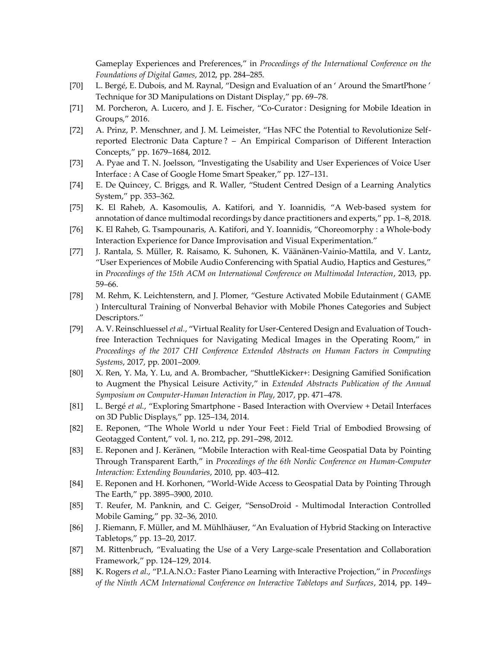Gameplay Experiences and Preferences," in *Proceedings of the International Conference on the Foundations of Digital Games*, 2012, pp. 284–285.

- [70] L. Bergé, E. Dubois, and M. Raynal, "Design and Evaluation of an ' Around the SmartPhone ' Technique for 3D Manipulations on Distant Display," pp. 69–78.
- [71] M. Porcheron, A. Lucero, and J. E. Fischer, "Co-Curator : Designing for Mobile Ideation in Groups," 2016.
- [72] A. Prinz, P. Menschner, and J. M. Leimeister, "Has NFC the Potential to Revolutionize Selfreported Electronic Data Capture ? – An Empirical Comparison of Different Interaction Concepts," pp. 1679–1684, 2012.
- [73] A. Pyae and T. N. Joelsson, "Investigating the Usability and User Experiences of Voice User Interface : A Case of Google Home Smart Speaker," pp. 127–131.
- [74] E. De Quincey, C. Briggs, and R. Waller, "Student Centred Design of a Learning Analytics System," pp. 353–362.
- [75] K. El Raheb, A. Kasomoulis, A. Katifori, and Y. Ioannidis, "A Web-based system for annotation of dance multimodal recordings by dance practitioners and experts," pp. 1–8, 2018.
- [76] K. El Raheb, G. Tsampounaris, A. Katifori, and Y. Ioannidis, "Choreomorphy : a Whole-body Interaction Experience for Dance Improvisation and Visual Experimentation."
- [77] J. Rantala, S. Müller, R. Raisamo, K. Suhonen, K. Väänänen-Vainio-Mattila, and V. Lantz, "User Experiences of Mobile Audio Conferencing with Spatial Audio, Haptics and Gestures," in *Proceedings of the 15th ACM on International Conference on Multimodal Interaction*, 2013, pp. 59–66.
- [78] M. Rehm, K. Leichtenstern, and J. Plomer, "Gesture Activated Mobile Edutainment ( GAME ) Intercultural Training of Nonverbal Behavior with Mobile Phones Categories and Subject Descriptors."
- [79] A. V. Reinschluessel *et al.*, "Virtual Reality for User-Centered Design and Evaluation of Touchfree Interaction Techniques for Navigating Medical Images in the Operating Room," in *Proceedings of the 2017 CHI Conference Extended Abstracts on Human Factors in Computing Systems*, 2017, pp. 2001–2009.
- [80] X. Ren, Y. Ma, Y. Lu, and A. Brombacher, "ShuttleKicker+: Designing Gamified Sonification to Augment the Physical Leisure Activity," in *Extended Abstracts Publication of the Annual Symposium on Computer-Human Interaction in Play*, 2017, pp. 471–478.
- [81] L. Bergé *et al.*, "Exploring Smartphone Based Interaction with Overview + Detail Interfaces on 3D Public Displays," pp. 125–134, 2014.
- [82] E. Reponen, "The Whole World u nder Your Feet : Field Trial of Embodied Browsing of Geotagged Content," vol. 1, no. 212, pp. 291–298, 2012.
- [83] E. Reponen and J. Keränen, "Mobile Interaction with Real-time Geospatial Data by Pointing Through Transparent Earth," in *Proceedings of the 6th Nordic Conference on Human-Computer Interaction: Extending Boundaries*, 2010, pp. 403–412.
- [84] E. Reponen and H. Korhonen, "World-Wide Access to Geospatial Data by Pointing Through The Earth," pp. 3895–3900, 2010.
- [85] T. Reufer, M. Panknin, and C. Geiger, "SensoDroid Multimodal Interaction Controlled Mobile Gaming," pp. 32–36, 2010.
- [86] J. Riemann, F. Müller, and M. Mühlhäuser, "An Evaluation of Hybrid Stacking on Interactive Tabletops," pp. 13–20, 2017.
- [87] M. Rittenbruch, "Evaluating the Use of a Very Large-scale Presentation and Collaboration Framework," pp. 124–129, 2014.
- [88] K. Rogers *et al.*, "P.I.A.N.O.: Faster Piano Learning with Interactive Projection," in *Proceedings of the Ninth ACM International Conference on Interactive Tabletops and Surfaces*, 2014, pp. 149–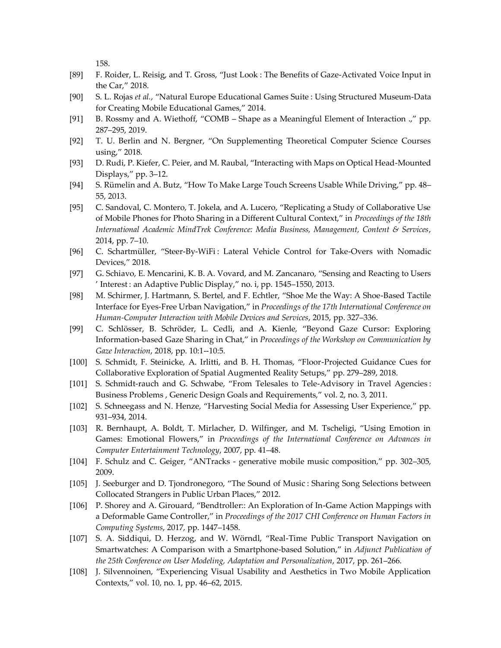158.

- [89] F. Roider, L. Reisig, and T. Gross, "Just Look : The Benefits of Gaze-Activated Voice Input in the Car," 2018.
- [90] S. L. Rojas *et al.*, "Natural Europe Educational Games Suite : Using Structured Museum-Data for Creating Mobile Educational Games," 2014.
- [91] B. Rossmy and A. Wiethoff, "COMB Shape as a Meaningful Element of Interaction .," pp. 287–295, 2019.
- [92] T. U. Berlin and N. Bergner, "On Supplementing Theoretical Computer Science Courses using," 2018.
- [93] D. Rudi, P. Kiefer, C. Peier, and M. Raubal, "Interacting with Maps on Optical Head-Mounted Displays," pp. 3–12.
- [94] S. Rümelin and A. Butz, "How To Make Large Touch Screens Usable While Driving," pp. 48– 55, 2013.
- [95] C. Sandoval, C. Montero, T. Jokela, and A. Lucero, "Replicating a Study of Collaborative Use of Mobile Phones for Photo Sharing in a Different Cultural Context," in *Proceedings of the 18th International Academic MindTrek Conference: Media Business, Management, Content & Services*, 2014, pp. 7–10.
- [96] C. Schartmüller, "Steer-By-WiFi : Lateral Vehicle Control for Take-Overs with Nomadic Devices," 2018.
- [97] G. Schiavo, E. Mencarini, K. B. A. Vovard, and M. Zancanaro, "Sensing and Reacting to Users ' Interest : an Adaptive Public Display," no. i, pp. 1545–1550, 2013.
- [98] M. Schirmer, J. Hartmann, S. Bertel, and F. Echtler, "Shoe Me the Way: A Shoe-Based Tactile Interface for Eyes-Free Urban Navigation," in *Proceedings of the 17th International Conference on Human-Computer Interaction with Mobile Devices and Services*, 2015, pp. 327–336.
- [99] C. Schlösser, B. Schröder, L. Cedli, and A. Kienle, "Beyond Gaze Cursor: Exploring Information-based Gaze Sharing in Chat," in *Proceedings of the Workshop on Communication by Gaze Interaction*, 2018, pp. 10:1--10:5.
- [100] S. Schmidt, F. Steinicke, A. Irlitti, and B. H. Thomas, "Floor-Projected Guidance Cues for Collaborative Exploration of Spatial Augmented Reality Setups," pp. 279–289, 2018.
- [101] S. Schmidt-rauch and G. Schwabe, "From Telesales to Tele-Advisory in Travel Agencies : Business Problems , Generic Design Goals and Requirements," vol. 2, no. 3, 2011.
- [102] S. Schneegass and N. Henze, "Harvesting Social Media for Assessing User Experience," pp. 931–934, 2014.
- [103] R. Bernhaupt, A. Boldt, T. Mirlacher, D. Wilfinger, and M. Tscheligi, "Using Emotion in Games: Emotional Flowers," in *Proceedings of the International Conference on Advances in Computer Entertainment Technology*, 2007, pp. 41–48.
- [104] F. Schulz and C. Geiger, "ANTracks generative mobile music composition," pp. 302–305, 2009.
- [105] J. Seeburger and D. Tjondronegoro, "The Sound of Music : Sharing Song Selections between Collocated Strangers in Public Urban Places," 2012.
- [106] P. Shorey and A. Girouard, "Bendtroller:: An Exploration of In-Game Action Mappings with a Deformable Game Controller," in *Proceedings of the 2017 CHI Conference on Human Factors in Computing Systems*, 2017, pp. 1447–1458.
- [107] S. A. Siddiqui, D. Herzog, and W. Wörndl, "Real-Time Public Transport Navigation on Smartwatches: A Comparison with a Smartphone-based Solution," in *Adjunct Publication of the 25th Conference on User Modeling, Adaptation and Personalization*, 2017, pp. 261–266.
- [108] J. Silvennoinen, "Experiencing Visual Usability and Aesthetics in Two Mobile Application Contexts," vol. 10, no. 1, pp. 46–62, 2015.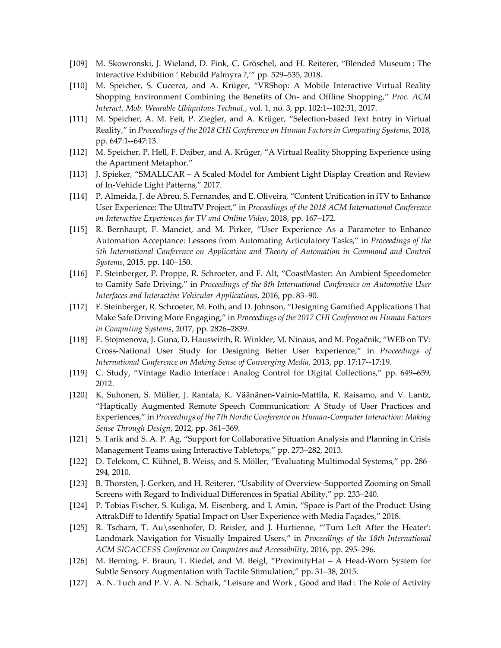- [109] M. Skowronski, J. Wieland, D. Fink, C. Gröschel, and H. Reiterer, "Blended Museum : The Interactive Exhibition ' Rebuild Palmyra ?,'" pp. 529–535, 2018.
- [110] M. Speicher, S. Cucerca, and A. Krüger, "VRShop: A Mobile Interactive Virtual Reality Shopping Environment Combining the Benefits of On- and Offline Shopping," *Proc. ACM Interact. Mob. Wearable Ubiquitous Technol.*, vol. 1, no. 3, pp. 102:1--102:31, 2017.
- [111] M. Speicher, A. M. Feit, P. Ziegler, and A. Krüger, "Selection-based Text Entry in Virtual Reality," in *Proceedings of the 2018 CHI Conference on Human Factors in Computing Systems*, 2018, pp. 647:1--647:13.
- [112] M. Speicher, P. Hell, F. Daiber, and A. Krüger, "A Virtual Reality Shopping Experience using the Apartment Metaphor."
- [113] J. Spieker, "SMALLCAR A Scaled Model for Ambient Light Display Creation and Review of In-Vehicle Light Patterns," 2017.
- [114] P. Almeida, J. de Abreu, S. Fernandes, and E. Oliveira, "Content Unification in iTV to Enhance User Experience: The UltraTV Project," in *Proceedings of the 2018 ACM International Conference on Interactive Experiences for TV and Online Video*, 2018, pp. 167–172.
- [115] R. Bernhaupt, F. Manciet, and M. Pirker, "User Experience As a Parameter to Enhance Automation Acceptance: Lessons from Automating Articulatory Tasks," in *Proceedings of the 5th International Conference on Application and Theory of Automation in Command and Control Systems*, 2015, pp. 140–150.
- [116] F. Steinberger, P. Proppe, R. Schroeter, and F. Alt, "CoastMaster: An Ambient Speedometer to Gamify Safe Driving," in *Proceedings of the 8th International Conference on Automotive User Interfaces and Interactive Vehicular Applications*, 2016, pp. 83–90.
- [117] F. Steinberger, R. Schroeter, M. Foth, and D. Johnson, "Designing Gamified Applications That Make Safe Driving More Engaging," in *Proceedings of the 2017 CHI Conference on Human Factors in Computing Systems*, 2017, pp. 2826–2839.
- [118] E. Stojmenova, J. Guna, D. Hauswirth, R. Winkler, M. Ninaus, and M. Pogačnik, "WEB on TV: Cross-National User Study for Designing Better User Experience," in *Proceedings of International Conference on Making Sense of Converging Media*, 2013, pp. 17:17--17:19.
- [119] C. Study, "Vintage Radio Interface : Analog Control for Digital Collections," pp. 649–659, 2012.
- [120] K. Suhonen, S. Müller, J. Rantala, K. Väänänen-Vainio-Mattila, R. Raisamo, and V. Lantz, "Haptically Augmented Remote Speech Communication: A Study of User Practices and Experiences," in *Proceedings of the 7th Nordic Conference on Human-Computer Interaction: Making Sense Through Design*, 2012, pp. 361–369.
- [121] S. Tarik and S. A. P. Ag, "Support for Collaborative Situation Analysis and Planning in Crisis Management Teams using Interactive Tabletops," pp. 273–282, 2013.
- [122] D. Telekom, C. Kühnel, B. Weiss, and S. Möller, "Evaluating Multimodal Systems," pp. 286– 294, 2010.
- [123] B. Thorsten, J. Gerken, and H. Reiterer, "Usability of Overview-Supported Zooming on Small Screens with Regard to Individual Differences in Spatial Ability," pp. 233–240.
- [124] P. Tobias Fischer, S. Kuliga, M. Eisenberg, and I. Amin, "Space is Part of the Product: Using AttrakDiff to Identify Spatial Impact on User Experience with Media Façades," 2018.
- [125] R. Tscharn, T. Au\ssenhofer, D. Reisler, and J. Hurtienne, "Turn Left After the Heater': Landmark Navigation for Visually Impaired Users," in *Proceedings of the 18th International ACM SIGACCESS Conference on Computers and Accessibility*, 2016, pp. 295–296.
- [126] M. Berning, F. Braun, T. Riedel, and M. Beigl, "ProximityHat A Head-Worn System for Subtle Sensory Augmentation with Tactile Stimulation," pp. 31–38, 2015.
- [127] A. N. Tuch and P. V. A. N. Schaik, "Leisure and Work , Good and Bad : The Role of Activity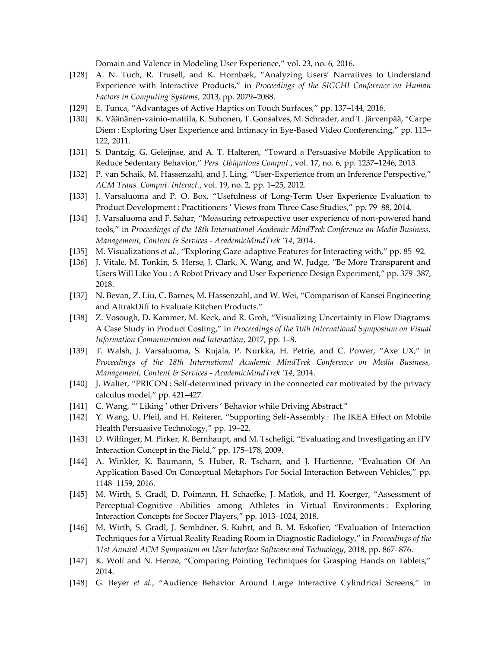Domain and Valence in Modeling User Experience," vol. 23, no. 6, 2016.

- [128] A. N. Tuch, R. Trusell, and K. Hornbæk, "Analyzing Users' Narratives to Understand Experience with Interactive Products," in *Proceedings of the SIGCHI Conference on Human Factors in Computing Systems*, 2013, pp. 2079–2088.
- [129] E. Tunca, "Advantages of Active Haptics on Touch Surfaces," pp. 137–144, 2016.
- [130] K. Väänänen-vainio-mattila, K. Suhonen, T. Gonsalves, M. Schrader, and T. Järvenpää, "Carpe Diem : Exploring User Experience and Intimacy in Eye-Based Video Conferencing," pp. 113– 122, 2011.
- [131] S. Dantzig, G. Geleijnse, and A. T. Halteren, "Toward a Persuasive Mobile Application to Reduce Sedentary Behavior," *Pers. Ubiquitous Comput.*, vol. 17, no. 6, pp. 1237–1246, 2013.
- [132] P. van Schaik, M. Hassenzahl, and J. Ling, "User-Experience from an Inference Perspective," *ACM Trans. Comput. Interact.*, vol. 19, no. 2, pp. 1–25, 2012.
- [133] J. Varsaluoma and P. O. Box, "Usefulness of Long-Term User Experience Evaluation to Product Development : Practitioners ' Views from Three Case Studies," pp. 79–88, 2014.
- [134] J. Varsaluoma and F. Sahar, "Measuring retrospective user experience of non-powered hand tools," in *Proceedings of the 18th International Academic MindTrek Conference on Media Business, Management, Content & Services - AcademicMindTrek '14*, 2014.
- [135] M. Visualizations *et al.*, "Exploring Gaze-adaptive Features for Interacting with," pp. 85–92.
- [136] J. Vitale, M. Tonkin, S. Herse, J. Clark, X. Wang, and W. Judge, "Be More Transparent and Users Will Like You : A Robot Privacy and User Experience Design Experiment," pp. 379–387, 2018.
- [137] N. Bevan, Z. Liu, C. Barnes, M. Hassenzahl, and W. Wei, "Comparison of Kansei Engineering and AttrakDiff to Evaluate Kitchen Products."
- [138] Z. Vosough, D. Kammer, M. Keck, and R. Groh, "Visualizing Uncertainty in Flow Diagrams: A Case Study in Product Costing," in *Proceedings of the 10th International Symposium on Visual Information Communication and Interaction*, 2017, pp. 1–8.
- [139] T. Walsh, J. Varsaluoma, S. Kujala, P. Nurkka, H. Petrie, and C. Power, "Axe UX," in *Proceedings of the 18th International Academic MindTrek Conference on Media Business, Management, Content & Services - AcademicMindTrek '14*, 2014.
- [140] J. Walter, "PRICON : Self-determined privacy in the connected car motivated by the privacy calculus model," pp. 421–427.
- [141] C. Wang, "' Liking' other Drivers' Behavior while Driving Abstract."
- [142] Y. Wang, U. Pfeil, and H. Reiterer, "Supporting Self-Assembly: The IKEA Effect on Mobile Health Persuasive Technology," pp. 19–22.
- [143] D. Wilfinger, M. Pirker, R. Bernhaupt, and M. Tscheligi, "Evaluating and Investigating an iTV Interaction Concept in the Field," pp. 175–178, 2009.
- [144] A. Winkler, K. Baumann, S. Huber, R. Tscharn, and J. Hurtienne, "Evaluation Of An Application Based On Conceptual Metaphors For Social Interaction Between Vehicles," pp. 1148–1159, 2016.
- [145] M. Wirth, S. Gradl, D. Poimann, H. Schaefke, J. Matlok, and H. Koerger, "Assessment of Perceptual-Cognitive Abilities among Athletes in Virtual Environments : Exploring Interaction Concepts for Soccer Players," pp. 1013–1024, 2018.
- [146] M. Wirth, S. Gradl, J. Sembdner, S. Kuhrt, and B. M. Eskofier, "Evaluation of Interaction Techniques for a Virtual Reality Reading Room in Diagnostic Radiology," in *Proceedings of the 31st Annual ACM Symposium on User Interface Software and Technology*, 2018, pp. 867–876.
- [147] K. Wolf and N. Henze, "Comparing Pointing Techniques for Grasping Hands on Tablets," 2014.
- [148] G. Beyer *et al.*, "Audience Behavior Around Large Interactive Cylindrical Screens," in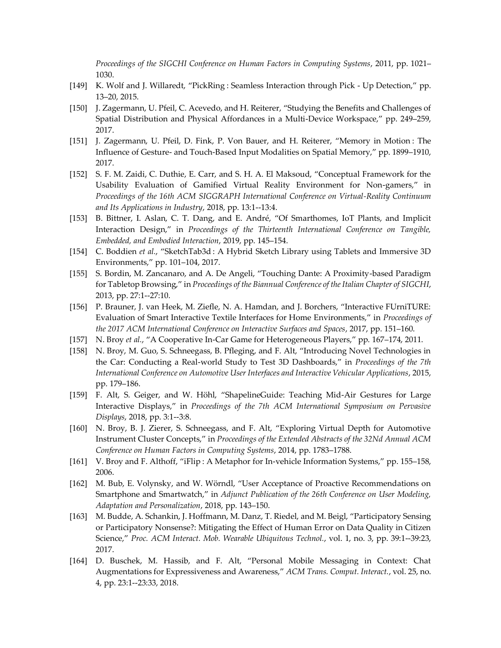*Proceedings of the SIGCHI Conference on Human Factors in Computing Systems*, 2011, pp. 1021– 1030.

- [149] K. Wolf and J. Willaredt, "PickRing : Seamless Interaction through Pick Up Detection," pp. 13–20, 2015.
- [150] J. Zagermann, U. Pfeil, C. Acevedo, and H. Reiterer, "Studying the Benefits and Challenges of Spatial Distribution and Physical Affordances in a Multi-Device Workspace," pp. 249–259, 2017.
- [151] J. Zagermann, U. Pfeil, D. Fink, P. Von Bauer, and H. Reiterer, "Memory in Motion : The Influence of Gesture- and Touch-Based Input Modalities on Spatial Memory," pp. 1899–1910, 2017.
- [152] S. F. M. Zaidi, C. Duthie, E. Carr, and S. H. A. El Maksoud, "Conceptual Framework for the Usability Evaluation of Gamified Virtual Reality Environment for Non-gamers," in *Proceedings of the 16th ACM SIGGRAPH International Conference on Virtual-Reality Continuum and Its Applications in Industry*, 2018, pp. 13:1--13:4.
- [153] B. Bittner, I. Aslan, C. T. Dang, and E. André, "Of Smarthomes, IoT Plants, and Implicit Interaction Design," in *Proceedings of the Thirteenth International Conference on Tangible, Embedded, and Embodied Interaction*, 2019, pp. 145–154.
- [154] C. Boddien *et al.*, "SketchTab3d : A Hybrid Sketch Library using Tablets and Immersive 3D Environments," pp. 101–104, 2017.
- [155] S. Bordin, M. Zancanaro, and A. De Angeli, "Touching Dante: A Proximity-based Paradigm for Tabletop Browsing," in *Proceedings of the Biannual Conference of the Italian Chapter of SIGCHI*, 2013, pp. 27:1--27:10.
- [156] P. Brauner, J. van Heek, M. Ziefle, N. A. Hamdan, and J. Borchers, "Interactive FUrniTURE: Evaluation of Smart Interactive Textile Interfaces for Home Environments," in *Proceedings of the 2017 ACM International Conference on Interactive Surfaces and Spaces*, 2017, pp. 151–160.
- [157] N. Broy *et al.*, "A Cooperative In-Car Game for Heterogeneous Players," pp. 167–174, 2011.
- [158] N. Broy, M. Guo, S. Schneegass, B. Pfleging, and F. Alt, "Introducing Novel Technologies in the Car: Conducting a Real-world Study to Test 3D Dashboards," in *Proceedings of the 7th International Conference on Automotive User Interfaces and Interactive Vehicular Applications*, 2015, pp. 179–186.
- [159] F. Alt, S. Geiger, and W. Höhl, "ShapelineGuide: Teaching Mid-Air Gestures for Large Interactive Displays," in *Proceedings of the 7th ACM International Symposium on Pervasive Displays*, 2018, pp. 3:1--3:8.
- [160] N. Broy, B. J. Zierer, S. Schneegass, and F. Alt, "Exploring Virtual Depth for Automotive Instrument Cluster Concepts," in *Proceedings of the Extended Abstracts of the 32Nd Annual ACM Conference on Human Factors in Computing Systems*, 2014, pp. 1783–1788.
- [161] V. Broy and F. Althoff, "iFlip : A Metaphor for In-vehicle Information Systems," pp. 155–158, 2006.
- [162] M. Bub, E. Volynsky, and W. Wörndl, "User Acceptance of Proactive Recommendations on Smartphone and Smartwatch," in *Adjunct Publication of the 26th Conference on User Modeling, Adaptation and Personalization*, 2018, pp. 143–150.
- [163] M. Budde, A. Schankin, J. Hoffmann, M. Danz, T. Riedel, and M. Beigl, "Participatory Sensing or Participatory Nonsense?: Mitigating the Effect of Human Error on Data Quality in Citizen Science," *Proc. ACM Interact. Mob. Wearable Ubiquitous Technol.*, vol. 1, no. 3, pp. 39:1--39:23, 2017.
- [164] D. Buschek, M. Hassib, and F. Alt, "Personal Mobile Messaging in Context: Chat Augmentations for Expressiveness and Awareness," *ACM Trans. Comput. Interact.*, vol. 25, no. 4, pp. 23:1--23:33, 2018.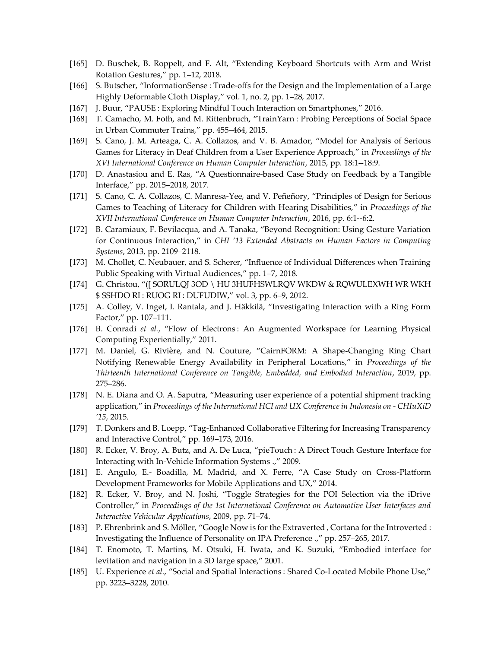- [165] D. Buschek, B. Roppelt, and F. Alt, "Extending Keyboard Shortcuts with Arm and Wrist Rotation Gestures," pp. 1–12, 2018.
- [166] S. Butscher, "InformationSense : Trade-offs for the Design and the Implementation of a Large Highly Deformable Cloth Display," vol. 1, no. 2, pp. 1–28, 2017.
- [167] J. Buur, "PAUSE : Exploring Mindful Touch Interaction on Smartphones," 2016.
- [168] T. Camacho, M. Foth, and M. Rittenbruch, "TrainYarn : Probing Perceptions of Social Space in Urban Commuter Trains," pp. 455–464, 2015.
- [169] S. Cano, J. M. Arteaga, C. A. Collazos, and V. B. Amador, "Model for Analysis of Serious Games for Literacy in Deaf Children from a User Experience Approach," in *Proceedings of the XVI International Conference on Human Computer Interaction*, 2015, pp. 18:1--18:9.
- [170] D. Anastasiou and E. Ras, "A Questionnaire-based Case Study on Feedback by a Tangible Interface," pp. 2015–2018, 2017.
- [171] S. Cano, C. A. Collazos, C. Manresa-Yee, and V. Peñeñory, "Principles of Design for Serious Games to Teaching of Literacy for Children with Hearing Disabilities," in *Proceedings of the XVII International Conference on Human Computer Interaction*, 2016, pp. 6:1--6:2.
- [172] B. Caramiaux, F. Bevilacqua, and A. Tanaka, "Beyond Recognition: Using Gesture Variation for Continuous Interaction," in *CHI '13 Extended Abstracts on Human Factors in Computing Systems*, 2013, pp. 2109–2118.
- [173] M. Chollet, C. Neubauer, and S. Scherer, "Influence of Individual Differences when Training Public Speaking with Virtual Audiences," pp. 1–7, 2018.
- [174] G. Christou, "([ SORULQJ 3OD \ HU 3HUFHSWLRQV WKDW & RQWULEXWH WR WKH \$ SSHDO RI : RUOG RI : DUFUDIW," vol. 3, pp. 6–9, 2012.
- [175] A. Colley, V. Inget, I. Rantala, and J. Häkkilä, "Investigating Interaction with a Ring Form Factor," pp. 107–111.
- [176] B. Conradi *et al.*, "Flow of Electrons : An Augmented Workspace for Learning Physical Computing Experientially," 2011.
- [177] M. Daniel, G. Rivière, and N. Couture, "CairnFORM: A Shape-Changing Ring Chart Notifying Renewable Energy Availability in Peripheral Locations," in *Proceedings of the Thirteenth International Conference on Tangible, Embedded, and Embodied Interaction*, 2019, pp. 275–286.
- [178] N. E. Diana and O. A. Saputra, "Measuring user experience of a potential shipment tracking application," in *Proceedings of the International HCI and UX Conference in Indonesia on - CHIuXiD '15*, 2015.
- [179] T. Donkers and B. Loepp, "Tag-Enhanced Collaborative Filtering for Increasing Transparency and Interactive Control," pp. 169–173, 2016.
- [180] R. Ecker, V. Broy, A. Butz, and A. De Luca, "pieTouch : A Direct Touch Gesture Interface for Interacting with In-Vehicle Information Systems .," 2009.
- [181] E. Angulo, E.- Boadilla, M. Madrid, and X. Ferre, "A Case Study on Cross-Platform Development Frameworks for Mobile Applications and UX," 2014.
- [182] R. Ecker, V. Broy, and N. Joshi, "Toggle Strategies for the POI Selection via the iDrive Controller," in *Proceedings of the 1st International Conference on Automotive User Interfaces and Interactive Vehicular Applications*, 2009, pp. 71–74.
- [183] P. Ehrenbrink and S. Möller, "Google Now is for the Extraverted , Cortana for the Introverted : Investigating the Influence of Personality on IPA Preference .," pp. 257–265, 2017.
- [184] T. Enomoto, T. Martins, M. Otsuki, H. Iwata, and K. Suzuki, "Embodied interface for levitation and navigation in a 3D large space," 2001.
- [185] U. Experience *et al.*, "Social and Spatial Interactions : Shared Co-Located Mobile Phone Use," pp. 3223–3228, 2010.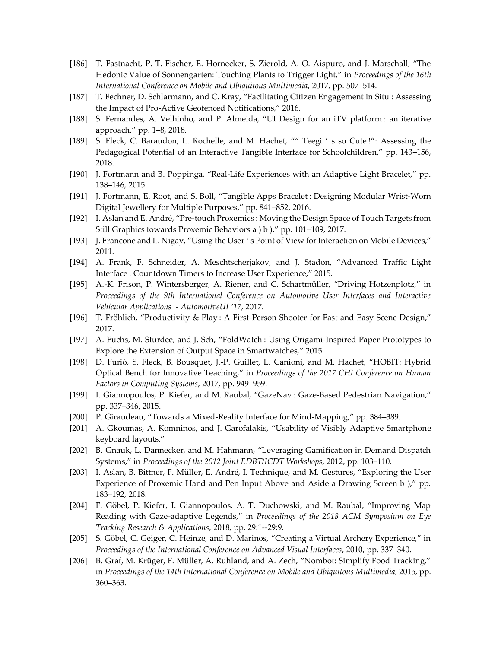- [186] T. Fastnacht, P. T. Fischer, E. Hornecker, S. Zierold, A. O. Aispuro, and J. Marschall, "The Hedonic Value of Sonnengarten: Touching Plants to Trigger Light," in *Proceedings of the 16th International Conference on Mobile and Ubiquitous Multimedia*, 2017, pp. 507–514.
- [187] T. Fechner, D. Schlarmann, and C. Kray, "Facilitating Citizen Engagement in Situ : Assessing the Impact of Pro-Active Geofenced Notifications," 2016.
- [188] S. Fernandes, A. Velhinho, and P. Almeida, "UI Design for an iTV platform : an iterative approach," pp. 1–8, 2018.
- [189] S. Fleck, C. Baraudon, L. Rochelle, and M. Hachet, "" Teegi ' s so Cute !": Assessing the Pedagogical Potential of an Interactive Tangible Interface for Schoolchildren," pp. 143–156, 2018.
- [190] J. Fortmann and B. Poppinga, "Real-Life Experiences with an Adaptive Light Bracelet," pp. 138–146, 2015.
- [191] J. Fortmann, E. Root, and S. Boll, "Tangible Apps Bracelet : Designing Modular Wrist-Worn Digital Jewellery for Multiple Purposes," pp. 841–852, 2016.
- [192] I. Aslan and E. André, "Pre-touch Proxemics : Moving the Design Space of Touch Targets from Still Graphics towards Proxemic Behaviors a ) b )," pp. 101–109, 2017.
- [193] J. Francone and L. Nigay, "Using the User ' s Point of View for Interaction on Mobile Devices," 2011.
- [194] A. Frank, F. Schneider, A. Meschtscherjakov, and J. Stadon, "Advanced Traffic Light Interface : Countdown Timers to Increase User Experience," 2015.
- [195] A.-K. Frison, P. Wintersberger, A. Riener, and C. Schartmüller, "Driving Hotzenplotz," in *Proceedings of the 9th International Conference on Automotive User Interfaces and Interactive Vehicular Applications - AutomotiveUI '17*, 2017.
- [196] T. Fröhlich, "Productivity & Play: A First-Person Shooter for Fast and Easy Scene Design," 2017.
- [197] A. Fuchs, M. Sturdee, and J. Sch, "FoldWatch : Using Origami-Inspired Paper Prototypes to Explore the Extension of Output Space in Smartwatches," 2015.
- [198] D. Furió, S. Fleck, B. Bousquet, J.-P. Guillet, L. Canioni, and M. Hachet, "HOBIT: Hybrid Optical Bench for Innovative Teaching," in *Proceedings of the 2017 CHI Conference on Human Factors in Computing Systems*, 2017, pp. 949–959.
- [199] I. Giannopoulos, P. Kiefer, and M. Raubal, "GazeNav : Gaze-Based Pedestrian Navigation," pp. 337–346, 2015.
- [200] P. Giraudeau, "Towards a Mixed-Reality Interface for Mind-Mapping," pp. 384–389.
- [201] A. Gkoumas, A. Komninos, and J. Garofalakis, "Usability of Visibly Adaptive Smartphone keyboard layouts."
- [202] B. Gnauk, L. Dannecker, and M. Hahmann, "Leveraging Gamification in Demand Dispatch Systems," in *Proceedings of the 2012 Joint EDBT/ICDT Workshops*, 2012, pp. 103–110.
- [203] I. Aslan, B. Bittner, F. Müller, E. André, I. Technique, and M. Gestures, "Exploring the User Experience of Proxemic Hand and Pen Input Above and Aside a Drawing Screen b )," pp. 183–192, 2018.
- [204] F. Göbel, P. Kiefer, I. Giannopoulos, A. T. Duchowski, and M. Raubal, "Improving Map Reading with Gaze-adaptive Legends," in *Proceedings of the 2018 ACM Symposium on Eye Tracking Research & Applications*, 2018, pp. 29:1--29:9.
- [205] S. Göbel, C. Geiger, C. Heinze, and D. Marinos, "Creating a Virtual Archery Experience," in *Proceedings of the International Conference on Advanced Visual Interfaces*, 2010, pp. 337–340.
- [206] B. Graf, M. Krüger, F. Müller, A. Ruhland, and A. Zech, "Nombot: Simplify Food Tracking," in *Proceedings of the 14th International Conference on Mobile and Ubiquitous Multimedia*, 2015, pp. 360–363.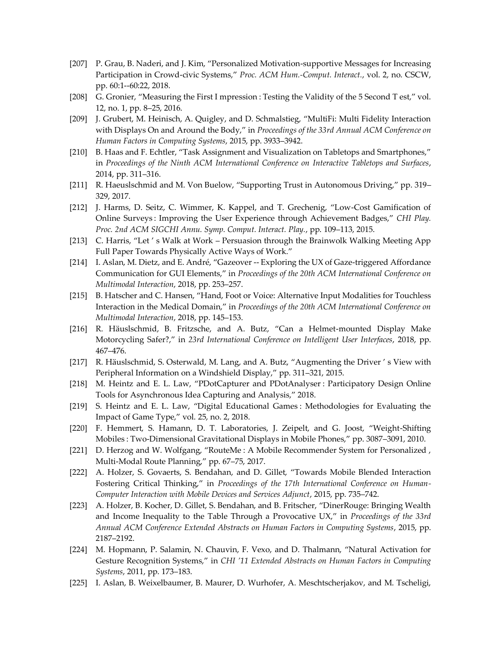- [207] P. Grau, B. Naderi, and J. Kim, "Personalized Motivation-supportive Messages for Increasing Participation in Crowd-civic Systems," *Proc. ACM Hum.-Comput. Interact.*, vol. 2, no. CSCW, pp. 60:1--60:22, 2018.
- [208] G. Gronier, "Measuring the First I mpression : Testing the Validity of the 5 Second T est," vol. 12, no. 1, pp. 8–25, 2016.
- [209] J. Grubert, M. Heinisch, A. Quigley, and D. Schmalstieg, "MultiFi: Multi Fidelity Interaction with Displays On and Around the Body," in *Proceedings of the 33rd Annual ACM Conference on Human Factors in Computing Systems*, 2015, pp. 3933–3942.
- [210] B. Haas and F. Echtler, "Task Assignment and Visualization on Tabletops and Smartphones," in *Proceedings of the Ninth ACM International Conference on Interactive Tabletops and Surfaces*, 2014, pp. 311–316.
- [211] R. Haeuslschmid and M. Von Buelow, "Supporting Trust in Autonomous Driving," pp. 319– 329, 2017.
- [212] J. Harms, D. Seitz, C. Wimmer, K. Kappel, and T. Grechenig, "Low-Cost Gamification of Online Surveys : Improving the User Experience through Achievement Badges," *CHI Play. Proc. 2nd ACM SIGCHI Annu. Symp. Comput. Interact. Play.*, pp. 109–113, 2015.
- [213] C. Harris, "Let ' s Walk at Work Persuasion through the Brainwolk Walking Meeting App Full Paper Towards Physically Active Ways of Work."
- [214] I. Aslan, M. Dietz, and E. André, "Gazeover -- Exploring the UX of Gaze-triggered Affordance Communication for GUI Elements," in *Proceedings of the 20th ACM International Conference on Multimodal Interaction*, 2018, pp. 253–257.
- [215] B. Hatscher and C. Hansen, "Hand, Foot or Voice: Alternative Input Modalities for Touchless Interaction in the Medical Domain," in *Proceedings of the 20th ACM International Conference on Multimodal Interaction*, 2018, pp. 145–153.
- [216] R. Häuslschmid, B. Fritzsche, and A. Butz, "Can a Helmet-mounted Display Make Motorcycling Safer?," in *23rd International Conference on Intelligent User Interfaces*, 2018, pp. 467–476.
- [217] R. Häuslschmid, S. Osterwald, M. Lang, and A. Butz, "Augmenting the Driver's View with Peripheral Information on a Windshield Display," pp. 311–321, 2015.
- [218] M. Heintz and E. L. Law, "PDotCapturer and PDotAnalyser : Participatory Design Online Tools for Asynchronous Idea Capturing and Analysis," 2018.
- [219] S. Heintz and E. L. Law, "Digital Educational Games : Methodologies for Evaluating the Impact of Game Type," vol. 25, no. 2, 2018.
- [220] F. Hemmert, S. Hamann, D. T. Laboratories, J. Zeipelt, and G. Joost, "Weight-Shifting Mobiles : Two-Dimensional Gravitational Displays in Mobile Phones," pp. 3087–3091, 2010.
- [221] D. Herzog and W. Wolfgang, "RouteMe : A Mobile Recommender System for Personalized , Multi-Modal Route Planning," pp. 67–75, 2017.
- [222] A. Holzer, S. Govaerts, S. Bendahan, and D. Gillet, "Towards Mobile Blended Interaction Fostering Critical Thinking," in *Proceedings of the 17th International Conference on Human-Computer Interaction with Mobile Devices and Services Adjunct*, 2015, pp. 735–742.
- [223] A. Holzer, B. Kocher, D. Gillet, S. Bendahan, and B. Fritscher, "DinerRouge: Bringing Wealth and Income Inequality to the Table Through a Provocative UX," in *Proceedings of the 33rd Annual ACM Conference Extended Abstracts on Human Factors in Computing Systems*, 2015, pp. 2187–2192.
- [224] M. Hopmann, P. Salamin, N. Chauvin, F. Vexo, and D. Thalmann, "Natural Activation for Gesture Recognition Systems," in *CHI '11 Extended Abstracts on Human Factors in Computing Systems*, 2011, pp. 173–183.
- [225] I. Aslan, B. Weixelbaumer, B. Maurer, D. Wurhofer, A. Meschtscherjakov, and M. Tscheligi,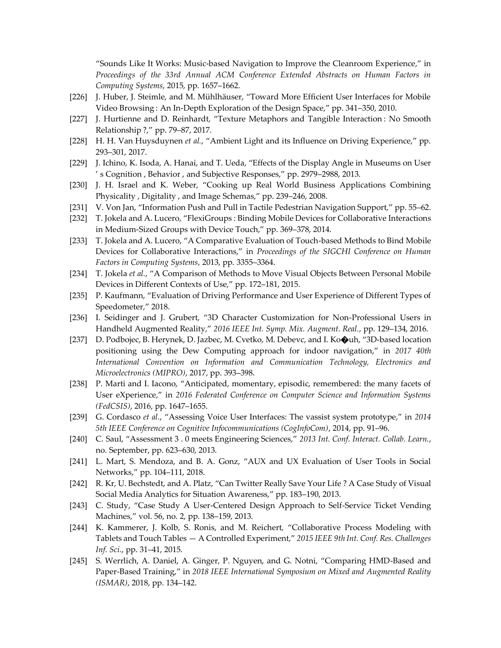"Sounds Like It Works: Music-based Navigation to Improve the Cleanroom Experience," in *Proceedings of the 33rd Annual ACM Conference Extended Abstracts on Human Factors in Computing Systems*, 2015, pp. 1657–1662.

- [226] J. Huber, J. Steimle, and M. Mühlhäuser, "Toward More Efficient User Interfaces for Mobile Video Browsing: An In-Depth Exploration of the Design Space," pp. 341–350, 2010.
- [227] J. Hurtienne and D. Reinhardt, "Texture Metaphors and Tangible Interaction : No Smooth Relationship ?," pp. 79–87, 2017.
- [228] H. H. Van Huysduynen *et al.*, "Ambient Light and its Influence on Driving Experience," pp. 293–301, 2017.
- [229] J. Ichino, K. Isoda, A. Hanai, and T. Ueda, "Effects of the Display Angle in Museums on User ' s Cognition , Behavior , and Subjective Responses," pp. 2979–2988, 2013.
- [230] J. H. Israel and K. Weber, "Cooking up Real World Business Applications Combining Physicality , Digitality , and Image Schemas," pp. 239–246, 2008.
- [231] V. Von Jan, "Information Push and Pull in Tactile Pedestrian Navigation Support," pp. 55–62.
- [232] T. Jokela and A. Lucero, "FlexiGroups : Binding Mobile Devices for Collaborative Interactions in Medium-Sized Groups with Device Touch," pp. 369–378, 2014.
- [233] T. Jokela and A. Lucero, "A Comparative Evaluation of Touch-based Methods to Bind Mobile Devices for Collaborative Interactions," in *Proceedings of the SIGCHI Conference on Human Factors in Computing Systems*, 2013, pp. 3355–3364.
- [234] T. Jokela *et al.*, "A Comparison of Methods to Move Visual Objects Between Personal Mobile Devices in Different Contexts of Use," pp. 172–181, 2015.
- [235] P. Kaufmann, "Evaluation of Driving Performance and User Experience of Different Types of Speedometer," 2018.
- [236] I. Seidinger and J. Grubert, "3D Character Customization for Non-Professional Users in Handheld Augmented Reality," *2016 IEEE Int. Symp. Mix. Augment. Real.*, pp. 129–134, 2016.
- [237] D. Podbojec, B. Herynek, D. Jazbec, M. Cvetko, M. Debevc, and I. Ko $\bigcirc$ uh, "3D-based location positioning using the Dew Computing approach for indoor navigation," in *2017 40th International Convention on Information and Communication Technology, Electronics and Microelectronics (MIPRO)*, 2017, pp. 393–398.
- [238] P. Marti and I. Iacono, "Anticipated, momentary, episodic, remembered: the many facets of User eXperience," in *2016 Federated Conference on Computer Science and Information Systems (FedCSIS)*, 2016, pp. 1647–1655.
- [239] G. Cordasco *et al.*, "Assessing Voice User Interfaces: The vassist system prototype," in *2014 5th IEEE Conference on Cognitive Infocommunications (CogInfoCom)*, 2014, pp. 91–96.
- [240] C. Saul, "Assessment 3 . 0 meets Engineering Sciences," *2013 Int. Conf. Interact. Collab. Learn.*, no. September, pp. 623–630, 2013.
- [241] L. Mart, S. Mendoza, and B. A. Gonz, "AUX and UX Evaluation of User Tools in Social Networks," pp. 104–111, 2018.
- [242] R. Kr, U. Bechstedt, and A. Platz, "Can Twitter Really Save Your Life ? A Case Study of Visual Social Media Analytics for Situation Awareness," pp. 183–190, 2013.
- [243] C. Study, "Case Study A User-Centered Design Approach to Self-Service Ticket Vending Machines," vol. 56, no. 2, pp. 138–159, 2013.
- [244] K. Kammerer, J. Kolb, S. Ronis, and M. Reichert, "Collaborative Process Modeling with Tablets and Touch Tables — A Controlled Experiment," *2015 IEEE 9th Int. Conf. Res. Challenges Inf. Sci.*, pp. 31–41, 2015.
- [245] S. Werrlich, A. Daniel, A. Ginger, P. Nguyen, and G. Notni, "Comparing HMD-Based and Paper-Based Training," in *2018 IEEE International Symposium on Mixed and Augmented Reality (ISMAR)*, 2018, pp. 134–142.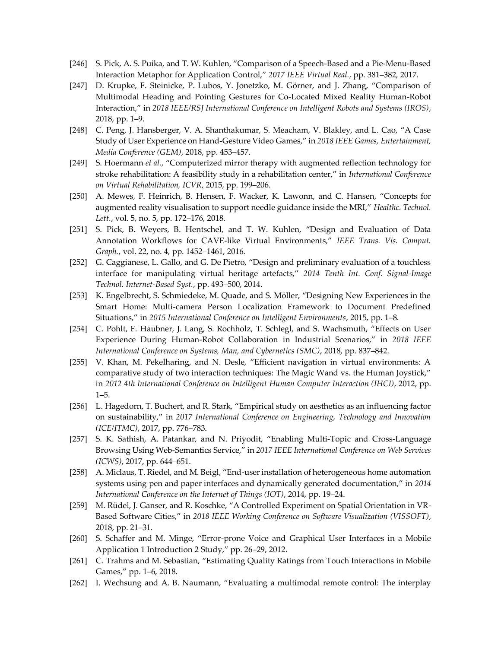- [246] S. Pick, A. S. Puika, and T. W. Kuhlen, "Comparison of a Speech-Based and a Pie-Menu-Based Interaction Metaphor for Application Control," *2017 IEEE Virtual Real.*, pp. 381–382, 2017.
- [247] D. Krupke, F. Steinicke, P. Lubos, Y. Jonetzko, M. Görner, and J. Zhang, "Comparison of Multimodal Heading and Pointing Gestures for Co-Located Mixed Reality Human-Robot Interaction," in *2018 IEEE/RSJ International Conference on Intelligent Robots and Systems (IROS)*, 2018, pp. 1–9.
- [248] C. Peng, J. Hansberger, V. A. Shanthakumar, S. Meacham, V. Blakley, and L. Cao, "A Case Study of User Experience on Hand-Gesture Video Games," in *2018 IEEE Games, Entertainment, Media Conference (GEM)*, 2018, pp. 453–457.
- [249] S. Hoermann *et al.*, "Computerized mirror therapy with augmented reflection technology for stroke rehabilitation: A feasibility study in a rehabilitation center," in *International Conference on Virtual Rehabilitation, ICVR*, 2015, pp. 199–206.
- [250] A. Mewes, F. Heinrich, B. Hensen, F. Wacker, K. Lawonn, and C. Hansen, "Concepts for augmented reality visualisation to support needle guidance inside the MRI," *Healthc. Technol. Lett.*, vol. 5, no. 5, pp. 172–176, 2018.
- [251] S. Pick, B. Weyers, B. Hentschel, and T. W. Kuhlen, "Design and Evaluation of Data Annotation Workflows for CAVE-like Virtual Environments," *IEEE Trans. Vis. Comput. Graph.*, vol. 22, no. 4, pp. 1452–1461, 2016.
- [252] G. Caggianese, L. Gallo, and G. De Pietro, "Design and preliminary evaluation of a touchless interface for manipulating virtual heritage artefacts," *2014 Tenth Int. Conf. Signal-Image Technol. Internet-Based Syst.*, pp. 493–500, 2014.
- [253] K. Engelbrecht, S. Schmiedeke, M. Quade, and S. Möller, "Designing New Experiences in the Smart Home: Multi-camera Person Localization Framework to Document Predefined Situations," in *2015 International Conference on Intelligent Environments*, 2015, pp. 1–8.
- [254] C. Pohlt, F. Haubner, J. Lang, S. Rochholz, T. Schlegl, and S. Wachsmuth, "Effects on User Experience During Human-Robot Collaboration in Industrial Scenarios," in *2018 IEEE International Conference on Systems, Man, and Cybernetics (SMC)*, 2018, pp. 837–842.
- [255] V. Khan, M. Pekelharing, and N. Desle, "Efficient navigation in virtual environments: A comparative study of two interaction techniques: The Magic Wand vs. the Human Joystick," in *2012 4th International Conference on Intelligent Human Computer Interaction (IHCI)*, 2012, pp. 1–5.
- [256] L. Hagedorn, T. Buchert, and R. Stark, "Empirical study on aesthetics as an influencing factor on sustainability," in *2017 International Conference on Engineering, Technology and Innovation (ICE/ITMC)*, 2017, pp. 776–783.
- [257] S. K. Sathish, A. Patankar, and N. Priyodit, "Enabling Multi-Topic and Cross-Language Browsing Using Web-Semantics Service," in *2017 IEEE International Conference on Web Services (ICWS)*, 2017, pp. 644–651.
- [258] A. Miclaus, T. Riedel, and M. Beigl, "End-user installation of heterogeneous home automation systems using pen and paper interfaces and dynamically generated documentation," in *2014 International Conference on the Internet of Things (IOT)*, 2014, pp. 19–24.
- [259] M. Rüdel, J. Ganser, and R. Koschke, "A Controlled Experiment on Spatial Orientation in VR-Based Software Cities," in *2018 IEEE Working Conference on Software Visualization (VISSOFT)*, 2018, pp. 21–31.
- [260] S. Schaffer and M. Minge, "Error-prone Voice and Graphical User Interfaces in a Mobile Application 1 Introduction 2 Study," pp. 26–29, 2012.
- [261] C. Trahms and M. Sebastian, "Estimating Quality Ratings from Touch Interactions in Mobile Games," pp. 1–6, 2018.
- [262] I. Wechsung and A. B. Naumann, "Evaluating a multimodal remote control: The interplay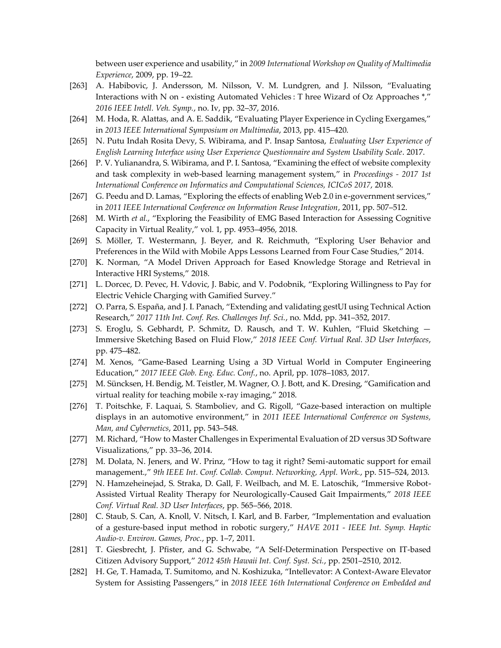between user experience and usability," in *2009 International Workshop on Quality of Multimedia Experience*, 2009, pp. 19–22.

- [263] A. Habibovic, J. Andersson, M. Nilsson, V. M. Lundgren, and J. Nilsson, "Evaluating Interactions with N on - existing Automated Vehicles : T hree Wizard of Oz Approaches \*," *2016 IEEE Intell. Veh. Symp.*, no. Iv, pp. 32–37, 2016.
- [264] M. Hoda, R. Alattas, and A. E. Saddik, "Evaluating Player Experience in Cycling Exergames," in *2013 IEEE International Symposium on Multimedia*, 2013, pp. 415–420.
- [265] N. Putu Indah Rosita Devy, S. Wibirama, and P. Insap Santosa, *Evaluating User Experience of English Learning Interface using User Experience Questionnaire and System Usability Scale*. 2017.
- [266] P. V. Yulianandra, S. Wibirama, and P. I. Santosa, "Examining the effect of website complexity and task complexity in web-based learning management system," in *Proceedings - 2017 1st International Conference on Informatics and Computational Sciences, ICICoS 2017*, 2018.
- [267] G. Peedu and D. Lamas, "Exploring the effects of enabling Web 2.0 in e-government services," in *2011 IEEE International Conference on Information Reuse Integration*, 2011, pp. 507–512.
- [268] M. Wirth *et al.*, "Exploring the Feasibility of EMG Based Interaction for Assessing Cognitive Capacity in Virtual Reality," vol. 1, pp. 4953–4956, 2018.
- [269] S. Möller, T. Westermann, J. Beyer, and R. Reichmuth, "Exploring User Behavior and Preferences in the Wild with Mobile Apps Lessons Learned from Four Case Studies," 2014.
- [270] K. Norman, "A Model Driven Approach for Eased Knowledge Storage and Retrieval in Interactive HRI Systems," 2018.
- [271] L. Dorcec, D. Pevec, H. Vdovic, J. Babic, and V. Podobnik, "Exploring Willingness to Pay for Electric Vehicle Charging with Gamified Survey."
- [272] O. Parra, S. España, and J. I. Panach, "Extending and validating gestUI using Technical Action Research," *2017 11th Int. Conf. Res. Challenges Inf. Sci.*, no. Mdd, pp. 341–352, 2017.
- [273] S. Eroglu, S. Gebhardt, P. Schmitz, D. Rausch, and T. W. Kuhlen, "Fluid Sketching Immersive Sketching Based on Fluid Flow," *2018 IEEE Conf. Virtual Real. 3D User Interfaces*, pp. 475–482.
- [274] M. Xenos, "Game-Based Learning Using a 3D Virtual World in Computer Engineering Education," *2017 IEEE Glob. Eng. Educ. Conf.*, no. April, pp. 1078–1083, 2017.
- [275] M. Süncksen, H. Bendig, M. Teistler, M. Wagner, O. J. Bott, and K. Dresing, "Gamification and virtual reality for teaching mobile x-ray imaging," 2018.
- [276] T. Poitschke, F. Laquai, S. Stamboliev, and G. Rigoll, "Gaze-based interaction on multiple displays in an automotive environment," in *2011 IEEE International Conference on Systems, Man, and Cybernetics*, 2011, pp. 543–548.
- [277] M. Richard, "How to Master Challenges in Experimental Evaluation of 2D versus 3D Software Visualizations," pp. 33–36, 2014.
- [278] M. Dolata, N. Jeners, and W. Prinz, "How to tag it right? Semi-automatic support for email management.," *9th IEEE Int. Conf. Collab. Comput. Networking, Appl. Work.*, pp. 515–524, 2013.
- [279] N. Hamzeheinejad, S. Straka, D. Gall, F. Weilbach, and M. E. Latoschik, "Immersive Robot-Assisted Virtual Reality Therapy for Neurologically-Caused Gait Impairments," *2018 IEEE Conf. Virtual Real. 3D User Interfaces*, pp. 565–566, 2018.
- [280] C. Staub, S. Can, A. Knoll, V. Nitsch, I. Karl, and B. Farber, "Implementation and evaluation of a gesture-based input method in robotic surgery," *HAVE 2011 - IEEE Int. Symp. Haptic Audio-v. Environ. Games, Proc.*, pp. 1–7, 2011.
- [281] T. Giesbrecht, J. Pfister, and G. Schwabe, "A Self-Determination Perspective on IT-based Citizen Advisory Support," *2012 45th Hawaii Int. Conf. Syst. Sci.*, pp. 2501–2510, 2012.
- [282] H. Ge, T. Hamada, T. Sumitomo, and N. Koshizuka, "Intellevator: A Context-Aware Elevator System for Assisting Passengers," in *2018 IEEE 16th International Conference on Embedded and*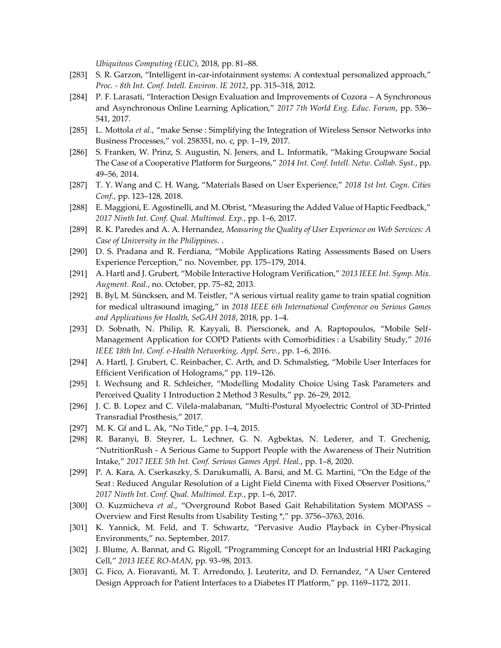*Ubiquitous Computing (EUC)*, 2018, pp. 81–88.

- [283] S. R. Garzon, "Intelligent in-car-infotainment systems: A contextual personalized approach," *Proc. - 8th Int. Conf. Intell. Environ. IE 2012*, pp. 315–318, 2012.
- [284] P. F. Larasati, "Interaction Design Evaluation and Improvements of Cozora A Synchronous and Asynchronous Online Learning Aplication," *2017 7th World Eng. Educ. Forum*, pp. 536– 541, 2017.
- [285] L. Mottola *et al.*, "make Sense : Simplifying the Integration of Wireless Sensor Networks into Business Processes," vol. 258351, no. c, pp. 1–19, 2017.
- [286] S. Franken, W. Prinz, S. Augustin, N. Jeners, and L. Informatik, "Making Groupware Social The Case of a Cooperative Platform for Surgeons," *2014 Int. Conf. Intell. Netw. Collab. Syst.*, pp. 49–56, 2014.
- [287] T. Y. Wang and C. H. Wang, "Materials Based on User Experience," *2018 1st Int. Cogn. Cities Conf.*, pp. 123–128, 2018.
- [288] E. Maggioni, E. Agostinelli, and M. Obrist, "Measuring the Added Value of Haptic Feedback," *2017 Ninth Int. Conf. Qual. Multimed. Exp.*, pp. 1–6, 2017.
- [289] R. K. Paredes and A. A. Hernandez, *Measuring the Quality of User Experience on Web Services: A Case of University in the Philippines*. .
- [290] D. S. Pradana and R. Ferdiana, "Mobile Applications Rating Assessments Based on Users Experience Perception," no. November, pp. 175–179, 2014.
- [291] A. Hartl and J. Grubert, "Mobile Interactive Hologram Verification," *2013 IEEE Int. Symp. Mix. Augment. Real.*, no. October, pp. 75–82, 2013.
- [292] B. Byl, M. Süncksen, and M. Teistler, "A serious virtual reality game to train spatial cognition for medical ultrasound imaging," in *2018 IEEE 6th International Conference on Serious Games and Applications for Health, SeGAH 2018*, 2018, pp. 1–4.
- [293] D. Sobnath, N. Philip, R. Kayyali, B. Pierscionek, and A. Raptopoulos, "Mobile Self-Management Application for COPD Patients with Comorbidities : a Usability Study," *2016 IEEE 18th Int. Conf. e-Health Networking, Appl. Serv.*, pp. 1–6, 2016.
- [294] A. Hartl, J. Grubert, C. Reinbacher, C. Arth, and D. Schmalstieg, "Mobile User Interfaces for Efficient Verification of Holograms," pp. 119–126.
- [295] I. Wechsung and R. Schleicher, "Modelling Modality Choice Using Task Parameters and Perceived Quality 1 Introduction 2 Method 3 Results," pp. 26–29, 2012.
- [296] J. C. B. Lopez and C. Vilela-malabanan, "Multi-Postural Myoelectric Control of 3D-Printed Transradial Prosthesis," 2017.
- [297] M. K. Gf and L. Ak, "No Title," pp. 1–4, 2015.
- [298] R. Baranyi, B. Steyrer, L. Lechner, G. N. Agbektas, N. Lederer, and T. Grechenig, "NutritionRush - A Serious Game to Support People with the Awareness of Their Nutrition Intake," *2017 IEEE 5th Int. Conf. Serious Games Appl. Heal.*, pp. 1–8, 2020.
- [299] P. A. Kara, A. Cserkaszky, S. Darukumalli, A. Barsi, and M. G. Martini, "On the Edge of the Seat : Reduced Angular Resolution of a Light Field Cinema with Fixed Observer Positions," *2017 Ninth Int. Conf. Qual. Multimed. Exp.*, pp. 1–6, 2017.
- [300] O. Kuzmicheva *et al.*, "Overground Robot Based Gait Rehabilitation System MOPASS Overview and First Results from Usability Testing \*," pp. 3756–3763, 2016.
- [301] K. Yannick, M. Feld, and T. Schwartz, "Pervasive Audio Playback in Cyber-Physical Environments," no. September, 2017.
- [302] J. Blume, A. Bannat, and G. Rigoll, "Programming Concept for an Industrial HRI Packaging Cell," *2013 IEEE RO-MAN*, pp. 93–98, 2013.
- [303] G. Fico, A. Fioravanti, M. T. Arredondo, J. Leuteritz, and D. Fernandez, "A User Centered Design Approach for Patient Interfaces to a Diabetes IT Platform," pp. 1169–1172, 2011.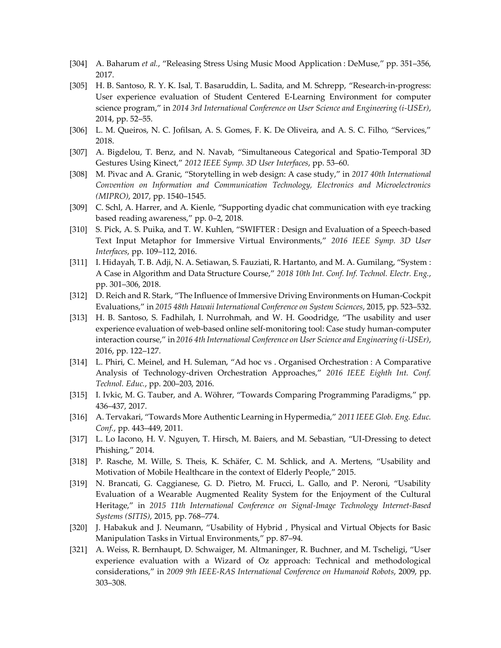- [304] A. Baharum *et al.*, "Releasing Stress Using Music Mood Application : DeMuse," pp. 351–356, 2017.
- [305] H. B. Santoso, R. Y. K. Isal, T. Basaruddin, L. Sadita, and M. Schrepp, "Research-in-progress: User experience evaluation of Student Centered E-Learning Environment for computer science program," in *2014 3rd International Conference on User Science and Engineering (i-USEr)*, 2014, pp. 52–55.
- [306] L. M. Queiros, N. C. Jofilsan, A. S. Gomes, F. K. De Oliveira, and A. S. C. Filho, "Services," 2018.
- [307] A. Bigdelou, T. Benz, and N. Navab, "Simultaneous Categorical and Spatio-Temporal 3D Gestures Using Kinect," *2012 IEEE Symp. 3D User Interfaces*, pp. 53–60.
- [308] M. Pivac and A. Granic, "Storytelling in web design: A case study," in *2017 40th International Convention on Information and Communication Technology, Electronics and Microelectronics (MIPRO)*, 2017, pp. 1540–1545.
- [309] C. Schl, A. Harrer, and A. Kienle, "Supporting dyadic chat communication with eye tracking based reading awareness," pp. 0–2, 2018.
- [310] S. Pick, A. S. Puika, and T. W. Kuhlen, "SWIFTER : Design and Evaluation of a Speech-based Text Input Metaphor for Immersive Virtual Environments," *2016 IEEE Symp. 3D User Interfaces*, pp. 109–112, 2016.
- [311] I. Hidayah, T. B. Adji, N. A. Setiawan, S. Fauziati, R. Hartanto, and M. A. Gumilang, "System : A Case in Algorithm and Data Structure Course," *2018 10th Int. Conf. Inf. Technol. Electr. Eng.*, pp. 301–306, 2018.
- [312] D. Reich and R. Stark, "The Influence of Immersive Driving Environments on Human-Cockpit Evaluations," in *2015 48th Hawaii International Conference on System Sciences*, 2015, pp. 523–532.
- [313] H. B. Santoso, S. Fadhilah, I. Nurrohmah, and W. H. Goodridge, "The usability and user experience evaluation of web-based online self-monitoring tool: Case study human-computer interaction course," in *2016 4th International Conference on User Science and Engineering (i-USEr)*, 2016, pp. 122–127.
- [314] L. Phiri, C. Meinel, and H. Suleman, "Ad hoc vs . Organised Orchestration : A Comparative Analysis of Technology-driven Orchestration Approaches," *2016 IEEE Eighth Int. Conf. Technol. Educ.*, pp. 200–203, 2016.
- [315] I. Ivkic, M. G. Tauber, and A. Wöhrer, "Towards Comparing Programming Paradigms," pp. 436–437, 2017.
- [316] A. Tervakari, "Towards More Authentic Learning in Hypermedia," *2011 IEEE Glob. Eng. Educ. Conf.*, pp. 443–449, 2011.
- [317] L. Lo Iacono, H. V. Nguyen, T. Hirsch, M. Baiers, and M. Sebastian, "UI-Dressing to detect Phishing," 2014.
- [318] P. Rasche, M. Wille, S. Theis, K. Schäfer, C. M. Schlick, and A. Mertens, "Usability and Motivation of Mobile Healthcare in the context of Elderly People," 2015.
- [319] N. Brancati, G. Caggianese, G. D. Pietro, M. Frucci, L. Gallo, and P. Neroni, "Usability Evaluation of a Wearable Augmented Reality System for the Enjoyment of the Cultural Heritage," in *2015 11th International Conference on Signal-Image Technology Internet-Based Systems (SITIS)*, 2015, pp. 768–774.
- [320] J. Habakuk and J. Neumann, "Usability of Hybrid , Physical and Virtual Objects for Basic Manipulation Tasks in Virtual Environments," pp. 87–94.
- [321] A. Weiss, R. Bernhaupt, D. Schwaiger, M. Altmaninger, R. Buchner, and M. Tscheligi, "User experience evaluation with a Wizard of Oz approach: Technical and methodological considerations," in *2009 9th IEEE-RAS International Conference on Humanoid Robots*, 2009, pp. 303–308.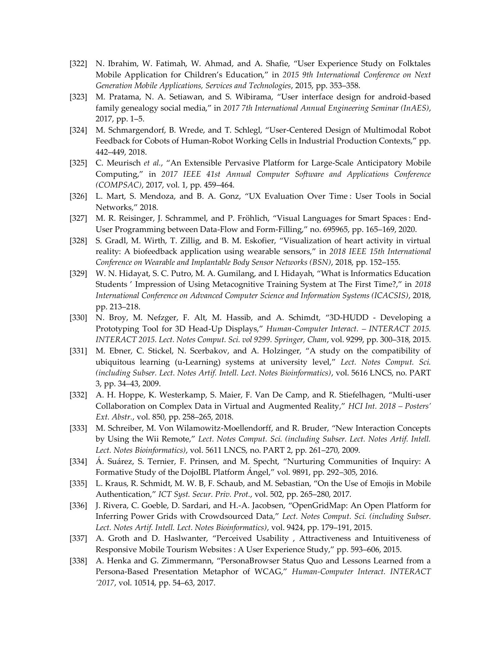- [322] N. Ibrahim, W. Fatimah, W. Ahmad, and A. Shafie, "User Experience Study on Folktales Mobile Application for Children's Education," in *2015 9th International Conference on Next Generation Mobile Applications, Services and Technologies*, 2015, pp. 353–358.
- [323] M. Pratama, N. A. Setiawan, and S. Wibirama, "User interface design for android-based family genealogy social media," in *2017 7th International Annual Engineering Seminar (InAES)*, 2017, pp. 1–5.
- [324] M. Schmargendorf, B. Wrede, and T. Schlegl, "User-Centered Design of Multimodal Robot Feedback for Cobots of Human-Robot Working Cells in Industrial Production Contexts," pp. 442–449, 2018.
- [325] C. Meurisch *et al.*, "An Extensible Pervasive Platform for Large-Scale Anticipatory Mobile Computing," in *2017 IEEE 41st Annual Computer Software and Applications Conference (COMPSAC)*, 2017, vol. 1, pp. 459–464.
- [326] L. Mart, S. Mendoza, and B. A. Gonz, "UX Evaluation Over Time : User Tools in Social Networks," 2018.
- [327] M. R. Reisinger, J. Schrammel, and P. Fröhlich, "Visual Languages for Smart Spaces : End-User Programming between Data-Flow and Form-Filling," no. 695965, pp. 165–169, 2020.
- [328] S. Gradl, M. Wirth, T. Zillig, and B. M. Eskofier, "Visualization of heart activity in virtual reality: A biofeedback application using wearable sensors," in *2018 IEEE 15th International Conference on Wearable and Implantable Body Sensor Networks (BSN)*, 2018, pp. 152–155.
- [329] W. N. Hidayat, S. C. Putro, M. A. Gumilang, and I. Hidayah, "What is Informatics Education Students ' Impression of Using Metacognitive Training System at The First Time?," in *2018 International Conference on Advanced Computer Science and Information Systems (ICACSIS)*, 2018, pp. 213–218.
- [330] N. Broy, M. Nefzger, F. Alt, M. Hassib, and A. Schimdt, "3D-HUDD Developing a Prototyping Tool for 3D Head-Up Displays," *Human-Computer Interact. – INTERACT 2015. INTERACT 2015. Lect. Notes Comput. Sci. vol 9299. Springer, Cham*, vol. 9299, pp. 300–318, 2015.
- [331] M. Ebner, C. Stickel, N. Scerbakov, and A. Holzinger, "A study on the compatibility of ubiquitous learning (u-Learning) systems at university level," *Lect. Notes Comput. Sci. (including Subser. Lect. Notes Artif. Intell. Lect. Notes Bioinformatics)*, vol. 5616 LNCS, no. PART 3, pp. 34–43, 2009.
- [332] A. H. Hoppe, K. Westerkamp, S. Maier, F. Van De Camp, and R. Stiefelhagen, "Multi-user Collaboration on Complex Data in Virtual and Augmented Reality," *HCI Int. 2018 – Posters' Ext. Abstr.*, vol. 850, pp. 258–265, 2018.
- [333] M. Schreiber, M. Von Wilamowitz-Moellendorff, and R. Bruder, "New Interaction Concepts by Using the Wii Remote," *Lect. Notes Comput. Sci. (including Subser. Lect. Notes Artif. Intell. Lect. Notes Bioinformatics)*, vol. 5611 LNCS, no. PART 2, pp. 261–270, 2009.
- [334] Á. Suárez, S. Ternier, F. Prinsen, and M. Specht, "Nurturing Communities of Inquiry: A Formative Study of the DojoIBL Platform Ángel," vol. 9891, pp. 292–305, 2016.
- [335] L. Kraus, R. Schmidt, M. W. B, F. Schaub, and M. Sebastian, "On the Use of Emojis in Mobile Authentication," *ICT Syst. Secur. Priv. Prot.*, vol. 502, pp. 265–280, 2017.
- [336] J. Rivera, C. Goeble, D. Sardari, and H.-A. Jacobsen, "OpenGridMap: An Open Platform for Inferring Power Grids with Crowdsourced Data," *Lect. Notes Comput. Sci. (including Subser. Lect. Notes Artif. Intell. Lect. Notes Bioinformatics)*, vol. 9424, pp. 179–191, 2015.
- [337] A. Groth and D. Haslwanter, "Perceived Usability , Attractiveness and Intuitiveness of Responsive Mobile Tourism Websites : A User Experience Study," pp. 593–606, 2015.
- [338] A. Henka and G. Zimmermann, "PersonaBrowser Status Quo and Lessons Learned from a Persona-Based Presentation Metaphor of WCAG," *Human-Computer Interact. INTERACT '2017*, vol. 10514, pp. 54–63, 2017.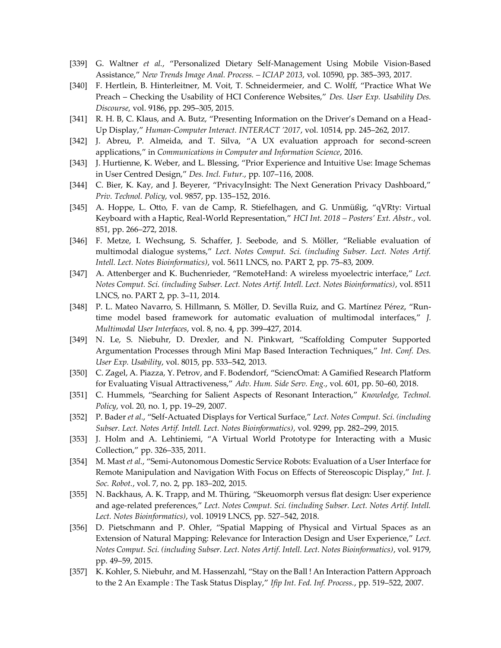- [339] G. Waltner *et al.*, "Personalized Dietary Self-Management Using Mobile Vision-Based Assistance," *New Trends Image Anal. Process. – ICIAP 2013*, vol. 10590, pp. 385–393, 2017.
- [340] F. Hertlein, B. Hinterleitner, M. Voit, T. Schneidermeier, and C. Wolff, "Practice What We Preach – Checking the Usability of HCI Conference Websites," *Des. User Exp. Usability Des. Discourse*, vol. 9186, pp. 295–305, 2015.
- [341] R. H. B, C. Klaus, and A. Butz, "Presenting Information on the Driver's Demand on a Head-Up Display," *Human-Computer Interact. INTERACT '2017*, vol. 10514, pp. 245–262, 2017.
- [342] J. Abreu, P. Almeida, and T. Silva, "A UX evaluation approach for second-screen applications," in *Communications in Computer and Information Science*, 2016.
- [343] J. Hurtienne, K. Weber, and L. Blessing, "Prior Experience and Intuitive Use: Image Schemas in User Centred Design," *Des. Incl. Futur.*, pp. 107–116, 2008.
- [344] C. Bier, K. Kay, and J. Beyerer, "PrivacyInsight: The Next Generation Privacy Dashboard," *Priv. Technol. Policy*, vol. 9857, pp. 135–152, 2016.
- [345] A. Hoppe, L. Otto, F. van de Camp, R. Stiefelhagen, and G. Unmüßig, "qVRty: Virtual Keyboard with a Haptic, Real-World Representation," *HCI Int. 2018 – Posters' Ext. Abstr.*, vol. 851, pp. 266–272, 2018.
- [346] F. Metze, I. Wechsung, S. Schaffer, J. Seebode, and S. Möller, "Reliable evaluation of multimodal dialogue systems," *Lect. Notes Comput. Sci. (including Subser. Lect. Notes Artif. Intell. Lect. Notes Bioinformatics)*, vol. 5611 LNCS, no. PART 2, pp. 75–83, 2009.
- [347] A. Attenberger and K. Buchenrieder, "RemoteHand: A wireless myoelectric interface," *Lect. Notes Comput. Sci. (including Subser. Lect. Notes Artif. Intell. Lect. Notes Bioinformatics)*, vol. 8511 LNCS, no. PART 2, pp. 3–11, 2014.
- [348] P. L. Mateo Navarro, S. Hillmann, S. Möller, D. Sevilla Ruiz, and G. Martínez Pérez, "Runtime model based framework for automatic evaluation of multimodal interfaces," *J. Multimodal User Interfaces*, vol. 8, no. 4, pp. 399–427, 2014.
- [349] N. Le, S. Niebuhr, D. Drexler, and N. Pinkwart, "Scaffolding Computer Supported Argumentation Processes through Mini Map Based Interaction Techniques," *Int. Conf. Des. User Exp. Usability*, vol. 8015, pp. 533–542, 2013.
- [350] C. Zagel, A. Piazza, Y. Petrov, and F. Bodendorf, "SciencOmat: A Gamified Research Platform for Evaluating Visual Attractiveness," *Adv. Hum. Side Serv. Eng.*, vol. 601, pp. 50–60, 2018.
- [351] C. Hummels, "Searching for Salient Aspects of Resonant Interaction," *Knowledge, Technol. Policy*, vol. 20, no. 1, pp. 19–29, 2007.
- [352] P. Bader *et al.*, "Self-Actuated Displays for Vertical Surface," *Lect. Notes Comput. Sci. (including Subser. Lect. Notes Artif. Intell. Lect. Notes Bioinformatics)*, vol. 9299, pp. 282–299, 2015.
- [353] J. Holm and A. Lehtiniemi, "A Virtual World Prototype for Interacting with a Music Collection," pp. 326–335, 2011.
- [354] M. Mast *et al.*, "Semi-Autonomous Domestic Service Robots: Evaluation of a User Interface for Remote Manipulation and Navigation With Focus on Effects of Stereoscopic Display," *Int. J. Soc. Robot.*, vol. 7, no. 2, pp. 183–202, 2015.
- [355] N. Backhaus, A. K. Trapp, and M. Thüring, "Skeuomorph versus flat design: User experience and age-related preferences," *Lect. Notes Comput. Sci. (including Subser. Lect. Notes Artif. Intell. Lect. Notes Bioinformatics)*, vol. 10919 LNCS, pp. 527–542, 2018.
- [356] D. Pietschmann and P. Ohler, "Spatial Mapping of Physical and Virtual Spaces as an Extension of Natural Mapping: Relevance for Interaction Design and User Experience," *Lect. Notes Comput. Sci. (including Subser. Lect. Notes Artif. Intell. Lect. Notes Bioinformatics)*, vol. 9179, pp. 49–59, 2015.
- [357] K. Kohler, S. Niebuhr, and M. Hassenzahl, "Stay on the Ball ! An Interaction Pattern Approach to the 2 An Example : The Task Status Display," *Ifip Int. Fed. Inf. Process.*, pp. 519–522, 2007.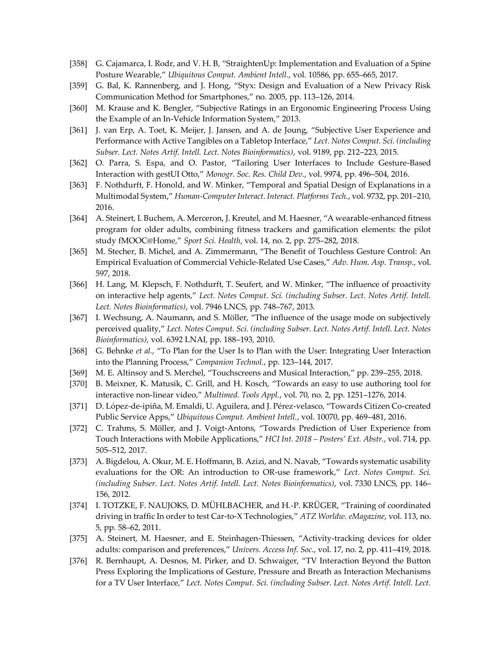- [358] G. Cajamarca, I. Rodr, and V. H. B, "StraightenUp: Implementation and Evaluation of a Spine Posture Wearable," *Ubiquitous Comput. Ambient Intell.*, vol. 10586, pp. 655–665, 2017.
- [359] G. Bal, K. Rannenberg, and J. Hong, "Styx: Design and Evaluation of a New Privacy Risk Communication Method for Smartphones," no. 2005, pp. 113–126, 2014.
- [360] M. Krause and K. Bengler, "Subjective Ratings in an Ergonomic Engineering Process Using the Example of an In-Vehicle Information System," 2013.
- [361] J. van Erp, A. Toet, K. Meijer, J. Jansen, and A. de Joung, "Subjective User Experience and Performance with Active Tangibles on a Tabletop Interface," *Lect. Notes Comput. Sci. (including Subser. Lect. Notes Artif. Intell. Lect. Notes Bioinformatics)*, vol. 9189, pp. 212–223, 2015.
- [362] O. Parra, S. Espa, and O. Pastor, "Tailoring User Interfaces to Include Gesture-Based Interaction with gestUI Otto," *Monogr. Soc. Res. Child Dev.*, vol. 9974, pp. 496–504, 2016.
- [363] F. Nothdurft, F. Honold, and W. Minker, "Temporal and Spatial Design of Explanations in a Multimodal System," *Human-Computer Interact. Interact. Platforms Tech.*, vol. 9732, pp. 201–210, 2016.
- [364] A. Steinert, I. Buchem, A. Merceron, J. Kreutel, and M. Haesner, "A wearable-enhanced fitness program for older adults, combining fitness trackers and gamification elements: the pilot study fMOOC@Home," *Sport Sci. Health*, vol. 14, no. 2, pp. 275–282, 2018.
- [365] M. Stecher, B. Michel, and A. Zimmermann, "The Benefit of Touchless Gesture Control: An Empirical Evaluation of Commercial Vehicle-Related Use Cases," *Adv. Hum. Asp. Transp.*, vol. 597, 2018.
- [366] H. Lang, M. Klepsch, F. Nothdurft, T. Seufert, and W. Minker, "The influence of proactivity on interactive help agents," *Lect. Notes Comput. Sci. (including Subser. Lect. Notes Artif. Intell. Lect. Notes Bioinformatics)*, vol. 7946 LNCS, pp. 748–767, 2013.
- [367] I. Wechsung, A. Naumann, and S. Möller, "The influence of the usage mode on subjectively perceived quality," *Lect. Notes Comput. Sci. (including Subser. Lect. Notes Artif. Intell. Lect. Notes Bioinformatics)*, vol. 6392 LNAI, pp. 188–193, 2010.
- [368] G. Behnke *et al.*, "To Plan for the User Is to Plan with the User: Integrating User Interaction into the Planning Process," *Companion Technol.*, pp. 123–144, 2017.
- [369] M. E. Altinsoy and S. Merchel, "Touchscreens and Musical Interaction," pp. 239–255, 2018.
- [370] B. Meixner, K. Matusik, C. Grill, and H. Kosch, "Towards an easy to use authoring tool for interactive non-linear video," *Multimed. Tools Appl.*, vol. 70, no. 2, pp. 1251–1276, 2014.
- [371] D. López-de-ipiña, M. Emaldi, U. Aguilera, and J. Pérez-velasco, "Towards Citizen Co-created Public Service Apps," *Ubiquitous Comput. Ambient Intell.*, vol. 10070, pp. 469–481, 2016.
- [372] C. Trahms, S. Möller, and J. Voigt-Antons, "Towards Prediction of User Experience from Touch Interactions with Mobile Applications," *HCI Int. 2018 – Posters' Ext. Abstr.*, vol. 714, pp. 505–512, 2017.
- [373] A. Bigdelou, A. Okur, M. E. Hoffmann, B. Azizi, and N. Navab, "Towards systematic usability evaluations for the OR: An introduction to OR-use framework," *Lect. Notes Comput. Sci. (including Subser. Lect. Notes Artif. Intell. Lect. Notes Bioinformatics)*, vol. 7330 LNCS, pp. 146– 156, 2012.
- [374] I. TOTZKE, F. NAUJOKS, D. MÜHLBACHER, and H.-P. KRÜGER, "Training of coordinated driving in traffic In order to test Car-to-X Technologies," *ATZ Worldw. eMagazine*, vol. 113, no. 5, pp. 58–62, 2011.
- [375] A. Steinert, M. Haesner, and E. Steinhagen-Thiessen, "Activity-tracking devices for older adults: comparison and preferences," *Univers. Access Inf. Soc.*, vol. 17, no. 2, pp. 411–419, 2018.
- [376] R. Bernhaupt, A. Desnos, M. Pirker, and D. Schwaiger, "TV Interaction Beyond the Button Press Exploring the Implications of Gesture, Pressure and Breath as Interaction Mechanisms for a TV User Interface," *Lect. Notes Comput. Sci. (including Subser. Lect. Notes Artif. Intell. Lect.*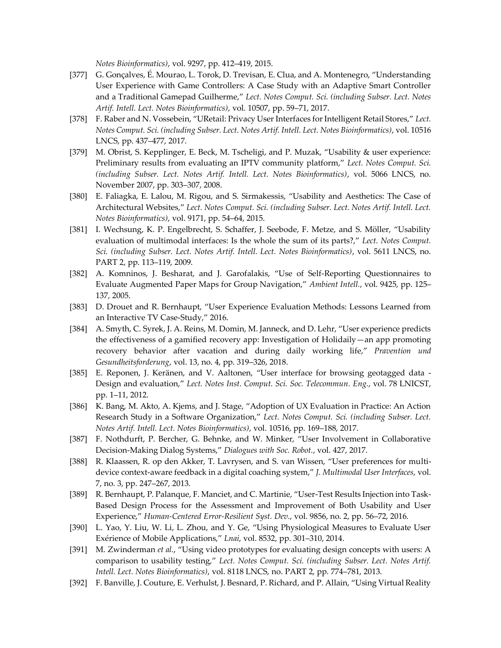*Notes Bioinformatics)*, vol. 9297, pp. 412–419, 2015.

- [377] G. Gonçalves, É. Mourao, L. Torok, D. Trevisan, E. Clua, and A. Montenegro, "Understanding User Experience with Game Controllers: A Case Study with an Adaptive Smart Controller and a Traditional Gamepad Guilherme," *Lect. Notes Comput. Sci. (including Subser. Lect. Notes Artif. Intell. Lect. Notes Bioinformatics)*, vol. 10507, pp. 59–71, 2017.
- [378] F. Raber and N. Vossebein, "URetail: Privacy User Interfaces for Intelligent Retail Stores," *Lect. Notes Comput. Sci. (including Subser. Lect. Notes Artif. Intell. Lect. Notes Bioinformatics)*, vol. 10516 LNCS, pp. 437–477, 2017.
- [379] M. Obrist, S. Kepplinger, E. Beck, M. Tscheligi, and P. Muzak, "Usability & user experience: Preliminary results from evaluating an IPTV community platform," *Lect. Notes Comput. Sci. (including Subser. Lect. Notes Artif. Intell. Lect. Notes Bioinformatics)*, vol. 5066 LNCS, no. November 2007, pp. 303–307, 2008.
- [380] E. Faliagka, E. Lalou, M. Rigou, and S. Sirmakessis, "Usability and Aesthetics: The Case of Architectural Websites," *Lect. Notes Comput. Sci. (including Subser. Lect. Notes Artif. Intell. Lect. Notes Bioinformatics)*, vol. 9171, pp. 54–64, 2015.
- [381] I. Wechsung, K. P. Engelbrecht, S. Schaffer, J. Seebode, F. Metze, and S. Möller, "Usability evaluation of multimodal interfaces: Is the whole the sum of its parts?," *Lect. Notes Comput. Sci. (including Subser. Lect. Notes Artif. Intell. Lect. Notes Bioinformatics)*, vol. 5611 LNCS, no. PART 2, pp. 113–119, 2009.
- [382] A. Komninos, J. Besharat, and J. Garofalakis, "Use of Self-Reporting Questionnaires to Evaluate Augmented Paper Maps for Group Navigation," *Ambient Intell.*, vol. 9425, pp. 125– 137, 2005.
- [383] D. Drouet and R. Bernhaupt, "User Experience Evaluation Methods: Lessons Learned from an Interactive TV Case-Study," 2016.
- [384] A. Smyth, C. Syrek, J. A. Reins, M. Domin, M. Janneck, and D. Lehr, "User experience predicts the effectiveness of a gamified recovery app: Investigation of Holidaily—an app promoting recovery behavior after vacation and during daily working life," *Pravention und Gesundheitsforderung*, vol. 13, no. 4, pp. 319–326, 2018.
- [385] E. Reponen, J. Keränen, and V. Aaltonen, "User interface for browsing geotagged data Design and evaluation," *Lect. Notes Inst. Comput. Sci. Soc. Telecommun. Eng.*, vol. 78 LNICST, pp. 1–11, 2012.
- [386] K. Bang, M. Akto, A. Kjems, and J. Stage, "Adoption of UX Evaluation in Practice: An Action Research Study in a Software Organization," *Lect. Notes Comput. Sci. (including Subser. Lect. Notes Artif. Intell. Lect. Notes Bioinformatics)*, vol. 10516, pp. 169–188, 2017.
- [387] F. Nothdurft, P. Bercher, G. Behnke, and W. Minker, "User Involvement in Collaborative Decision-Making Dialog Systems," *Dialogues with Soc. Robot.*, vol. 427, 2017.
- [388] R. Klaassen, R. op den Akker, T. Lavrysen, and S. van Wissen, "User preferences for multidevice context-aware feedback in a digital coaching system," *J. Multimodal User Interfaces*, vol. 7, no. 3, pp. 247–267, 2013.
- [389] R. Bernhaupt, P. Palanque, F. Manciet, and C. Martinie, "User-Test Results Injection into Task-Based Design Process for the Assessment and Improvement of Both Usability and User Experience," *Human-Centered Error-Resilient Syst. Dev.*, vol. 9856, no. 2, pp. 56–72, 2016.
- [390] L. Yao, Y. Liu, W. Li, L. Zhou, and Y. Ge, "Using Physiological Measures to Evaluate User Exérience of Mobile Applications," *Lnai*, vol. 8532, pp. 301–310, 2014.
- [391] M. Zwinderman *et al.*, "Using video prototypes for evaluating design concepts with users: A comparison to usability testing," *Lect. Notes Comput. Sci. (including Subser. Lect. Notes Artif. Intell. Lect. Notes Bioinformatics)*, vol. 8118 LNCS, no. PART 2, pp. 774–781, 2013.
- [392] F. Banville, J. Couture, E. Verhulst, J. Besnard, P. Richard, and P. Allain, "Using Virtual Reality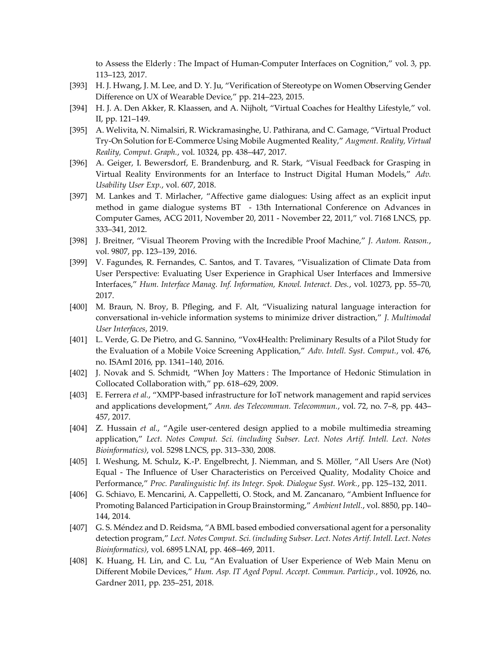to Assess the Elderly : The Impact of Human-Computer Interfaces on Cognition," vol. 3, pp. 113–123, 2017.

- [393] H. J. Hwang, J. M. Lee, and D. Y. Ju, "Verification of Stereotype on Women Observing Gender Difference on UX of Wearable Device," pp. 214–223, 2015.
- [394] H. J. A. Den Akker, R. Klaassen, and A. Nijholt, "Virtual Coaches for Healthy Lifestyle," vol. II, pp. 121–149.
- [395] A. Welivita, N. Nimalsiri, R. Wickramasinghe, U. Pathirana, and C. Gamage, "Virtual Product Try-On Solution for E-Commerce Using Mobile Augmented Reality," *Augment. Reality, Virtual Reality, Comput. Graph.*, vol. 10324, pp. 438–447, 2017.
- [396] A. Geiger, I. Bewersdorf, E. Brandenburg, and R. Stark, "Visual Feedback for Grasping in Virtual Reality Environments for an Interface to Instruct Digital Human Models," *Adv. Usability User Exp.*, vol. 607, 2018.
- [397] M. Lankes and T. Mirlacher, "Affective game dialogues: Using affect as an explicit input method in game dialogue systems BT - 13th International Conference on Advances in Computer Games, ACG 2011, November 20, 2011 - November 22, 2011," vol. 7168 LNCS, pp. 333–341, 2012.
- [398] J. Breitner, "Visual Theorem Proving with the Incredible Proof Machine," *J. Autom. Reason.*, vol. 9807, pp. 123–139, 2016.
- [399] V. Fagundes, R. Fernandes, C. Santos, and T. Tavares, "Visualization of Climate Data from User Perspective: Evaluating User Experience in Graphical User Interfaces and Immersive Interfaces," *Hum. Interface Manag. Inf. Information, Knowl. Interact. Des.*, vol. 10273, pp. 55–70, 2017.
- [400] M. Braun, N. Broy, B. Pfleging, and F. Alt, "Visualizing natural language interaction for conversational in-vehicle information systems to minimize driver distraction," *J. Multimodal User Interfaces*, 2019.
- [401] L. Verde, G. De Pietro, and G. Sannino, "Vox4Health: Preliminary Results of a Pilot Study for the Evaluation of a Mobile Voice Screening Application," *Adv. Intell. Syst. Comput.*, vol. 476, no. ISAmI 2016, pp. 1341–140, 2016.
- [402] J. Novak and S. Schmidt, "When Joy Matters : The Importance of Hedonic Stimulation in Collocated Collaboration with," pp. 618–629, 2009.
- [403] E. Ferrera *et al.*, "XMPP-based infrastructure for IoT network management and rapid services and applications development," *Ann. des Telecommun. Telecommun.*, vol. 72, no. 7–8, pp. 443– 457, 2017.
- [404] Z. Hussain *et al.*, "Agile user-centered design applied to a mobile multimedia streaming application," *Lect. Notes Comput. Sci. (including Subser. Lect. Notes Artif. Intell. Lect. Notes Bioinformatics)*, vol. 5298 LNCS, pp. 313–330, 2008.
- [405] I. Weshung, M. Schulz, K.-P. Engelbrecht, J. Niemman, and S. Möller, "All Users Are (Not) Equal - The Influence of User Characteristics on Perceived Quality, Modality Choice and Performance," *Proc. Paralinguistic Inf. its Integr. Spok. Dialogue Syst. Work.*, pp. 125–132, 2011.
- [406] G. Schiavo, E. Mencarini, A. Cappelletti, O. Stock, and M. Zancanaro, "Ambient Influence for Promoting Balanced Participation in Group Brainstorming," *Ambient Intell.*, vol. 8850, pp. 140– 144, 2014.
- [407] G. S. Méndez and D. Reidsma, "A BML based embodied conversational agent for a personality detection program," *Lect. Notes Comput. Sci. (including Subser. Lect. Notes Artif. Intell. Lect. Notes Bioinformatics)*, vol. 6895 LNAI, pp. 468–469, 2011.
- [408] K. Huang, H. Lin, and C. Lu, "An Evaluation of User Experience of Web Main Menu on Different Mobile Devices," *Hum. Asp. IT Aged Popul. Accept. Commun. Particip.*, vol. 10926, no. Gardner 2011, pp. 235–251, 2018.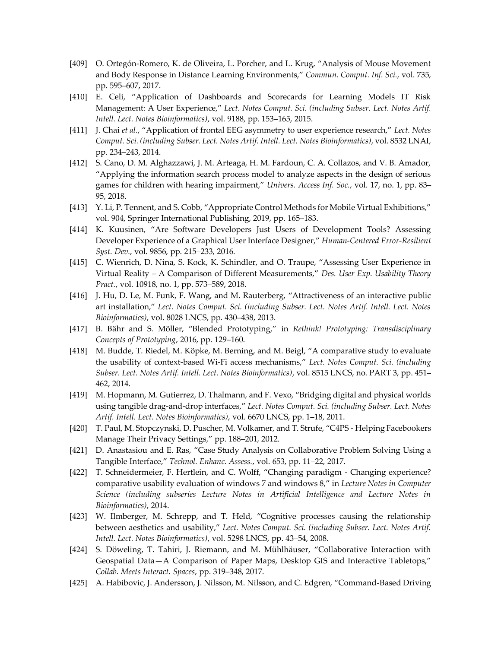- [409] O. Ortegón-Romero, K. de Oliveira, L. Porcher, and L. Krug, "Analysis of Mouse Movement and Body Response in Distance Learning Environments," *Commun. Comput. Inf. Sci.*, vol. 735, pp. 595–607, 2017.
- [410] E. Celi, "Application of Dashboards and Scorecards for Learning Models IT Risk Management: A User Experience," *Lect. Notes Comput. Sci. (including Subser. Lect. Notes Artif. Intell. Lect. Notes Bioinformatics)*, vol. 9188, pp. 153–165, 2015.
- [411] J. Chai *et al.*, "Application of frontal EEG asymmetry to user experience research," *Lect. Notes Comput. Sci. (including Subser. Lect. Notes Artif. Intell. Lect. Notes Bioinformatics)*, vol. 8532 LNAI, pp. 234–243, 2014.
- [412] S. Cano, D. M. Alghazzawi, J. M. Arteaga, H. M. Fardoun, C. A. Collazos, and V. B. Amador, "Applying the information search process model to analyze aspects in the design of serious games for children with hearing impairment," *Univers. Access Inf. Soc.*, vol. 17, no. 1, pp. 83– 95, 2018.
- [413] Y. Li, P. Tennent, and S. Cobb, "Appropriate Control Methods for Mobile Virtual Exhibitions," vol. 904, Springer International Publishing, 2019, pp. 165–183.
- [414] K. Kuusinen, "Are Software Developers Just Users of Development Tools? Assessing Developer Experience of a Graphical User Interface Designer," *Human-Centered Error-Resilient Syst. Dev.*, vol. 9856, pp. 215–233, 2016.
- [415] C. Wienrich, D. Nina, S. Kock, K. Schindler, and O. Traupe, "Assessing User Experience in Virtual Reality – A Comparison of Different Measurements," *Des. User Exp. Usability Theory Pract.*, vol. 10918, no. 1, pp. 573–589, 2018.
- [416] J. Hu, D. Le, M. Funk, F. Wang, and M. Rauterberg, "Attractiveness of an interactive public art installation," *Lect. Notes Comput. Sci. (including Subser. Lect. Notes Artif. Intell. Lect. Notes Bioinformatics)*, vol. 8028 LNCS, pp. 430–438, 2013.
- [417] B. Bähr and S. Möller, "Blended Prototyping," in *Rethink! Prototyping: Transdisciplinary Concepts of Prototyping*, 2016, pp. 129–160.
- [418] M. Budde, T. Riedel, M. Köpke, M. Berning, and M. Beigl, "A comparative study to evaluate the usability of context-based Wi-Fi access mechanisms," *Lect. Notes Comput. Sci. (including Subser. Lect. Notes Artif. Intell. Lect. Notes Bioinformatics)*, vol. 8515 LNCS, no. PART 3, pp. 451– 462, 2014.
- [419] M. Hopmann, M. Gutierrez, D. Thalmann, and F. Vexo, "Bridging digital and physical worlds using tangible drag-and-drop interfaces," *Lect. Notes Comput. Sci. (including Subser. Lect. Notes Artif. Intell. Lect. Notes Bioinformatics)*, vol. 6670 LNCS, pp. 1–18, 2011.
- [420] T. Paul, M. Stopczynski, D. Puscher, M. Volkamer, and T. Strufe, "C4PS Helping Facebookers Manage Their Privacy Settings," pp. 188–201, 2012.
- [421] D. Anastasiou and E. Ras, "Case Study Analysis on Collaborative Problem Solving Using a Tangible Interface," *Technol. Enhanc. Assess.*, vol. 653, pp. 11–22, 2017.
- [422] T. Schneidermeier, F. Hertlein, and C. Wolff, "Changing paradigm Changing experience? comparative usability evaluation of windows 7 and windows 8," in *Lecture Notes in Computer Science (including subseries Lecture Notes in Artificial Intelligence and Lecture Notes in Bioinformatics)*, 2014.
- [423] W. Ilmberger, M. Schrepp, and T. Held, "Cognitive processes causing the relationship between aesthetics and usability," *Lect. Notes Comput. Sci. (including Subser. Lect. Notes Artif. Intell. Lect. Notes Bioinformatics)*, vol. 5298 LNCS, pp. 43–54, 2008.
- [424] S. Döweling, T. Tahiri, J. Riemann, and M. Mühlhäuser, "Collaborative Interaction with Geospatial Data—A Comparison of Paper Maps, Desktop GIS and Interactive Tabletops," *Collab. Meets Interact. Spaces*, pp. 319–348, 2017.
- [425] A. Habibovic, J. Andersson, J. Nilsson, M. Nilsson, and C. Edgren, "Command-Based Driving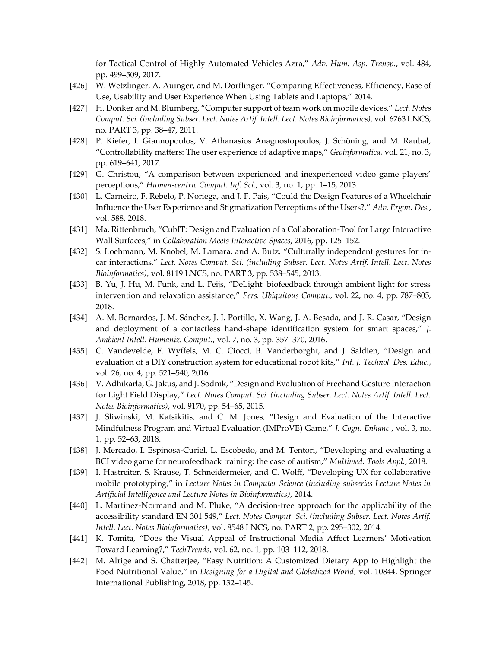for Tactical Control of Highly Automated Vehicles Azra," *Adv. Hum. Asp. Transp.*, vol. 484, pp. 499–509, 2017.

- [426] W. Wetzlinger, A. Auinger, and M. Dörflinger, "Comparing Effectiveness, Efficiency, Ease of Use, Usability and User Experience When Using Tablets and Laptops," 2014.
- [427] H. Donker and M. Blumberg, "Computer support of team work on mobile devices," *Lect. Notes Comput. Sci. (including Subser. Lect. Notes Artif. Intell. Lect. Notes Bioinformatics)*, vol. 6763 LNCS, no. PART 3, pp. 38–47, 2011.
- [428] P. Kiefer, I. Giannopoulos, V. Athanasios Anagnostopoulos, J. Schöning, and M. Raubal, "Controllability matters: The user experience of adaptive maps," *Geoinformatica*, vol. 21, no. 3, pp. 619–641, 2017.
- [429] G. Christou, "A comparison between experienced and inexperienced video game players' perceptions," *Human-centric Comput. Inf. Sci.*, vol. 3, no. 1, pp. 1–15, 2013.
- [430] L. Carneiro, F. Rebelo, P. Noriega, and J. F. Pais, "Could the Design Features of a Wheelchair Influence the User Experience and Stigmatization Perceptions of the Users?," *Adv. Ergon. Des.*, vol. 588, 2018.
- [431] Ma. Rittenbruch, "CubIT: Design and Evaluation of a Collaboration-Tool for Large Interactive Wall Surfaces," in *Collaboration Meets Interactive Spaces*, 2016, pp. 125–152.
- [432] S. Loehmann, M. Knobel, M. Lamara, and A. Butz, "Culturally independent gestures for incar interactions," *Lect. Notes Comput. Sci. (including Subser. Lect. Notes Artif. Intell. Lect. Notes Bioinformatics)*, vol. 8119 LNCS, no. PART 3, pp. 538–545, 2013.
- [433] B. Yu, J. Hu, M. Funk, and L. Feijs, "DeLight: biofeedback through ambient light for stress intervention and relaxation assistance," *Pers. Ubiquitous Comput.*, vol. 22, no. 4, pp. 787–805, 2018.
- [434] A. M. Bernardos, J. M. Sánchez, J. I. Portillo, X. Wang, J. A. Besada, and J. R. Casar, "Design and deployment of a contactless hand-shape identification system for smart spaces," *J. Ambient Intell. Humaniz. Comput.*, vol. 7, no. 3, pp. 357–370, 2016.
- [435] C. Vandevelde, F. Wyffels, M. C. Ciocci, B. Vanderborght, and J. Saldien, "Design and evaluation of a DIY construction system for educational robot kits," *Int. J. Technol. Des. Educ.*, vol. 26, no. 4, pp. 521–540, 2016.
- [436] V. Adhikarla, G. Jakus, and J. Sodnik, "Design and Evaluation of Freehand Gesture Interaction for Light Field Display," *Lect. Notes Comput. Sci. (including Subser. Lect. Notes Artif. Intell. Lect. Notes Bioinformatics)*, vol. 9170, pp. 54–65, 2015.
- [437] J. Sliwinski, M. Katsikitis, and C. M. Jones, "Design and Evaluation of the Interactive Mindfulness Program and Virtual Evaluation (IMProVE) Game," *J. Cogn. Enhanc.*, vol. 3, no. 1, pp. 52–63, 2018.
- [438] J. Mercado, I. Espinosa-Curiel, L. Escobedo, and M. Tentori, "Developing and evaluating a BCI video game for neurofeedback training: the case of autism," *Multimed. Tools Appl.*, 2018.
- [439] I. Hastreiter, S. Krause, T. Schneidermeier, and C. Wolff, "Developing UX for collaborative mobile prototyping," in *Lecture Notes in Computer Science (including subseries Lecture Notes in Artificial Intelligence and Lecture Notes in Bioinformatics)*, 2014.
- [440] L. Martínez-Normand and M. Pluke, "A decision-tree approach for the applicability of the accessibility standard EN 301 549," *Lect. Notes Comput. Sci. (including Subser. Lect. Notes Artif. Intell. Lect. Notes Bioinformatics)*, vol. 8548 LNCS, no. PART 2, pp. 295–302, 2014.
- [441] K. Tomita, "Does the Visual Appeal of Instructional Media Affect Learners' Motivation Toward Learning?," *TechTrends*, vol. 62, no. 1, pp. 103–112, 2018.
- [442] M. Alrige and S. Chatterjee, "Easy Nutrition: A Customized Dietary App to Highlight the Food Nutritional Value," in *Designing for a Digital and Globalized World*, vol. 10844, Springer International Publishing, 2018, pp. 132–145.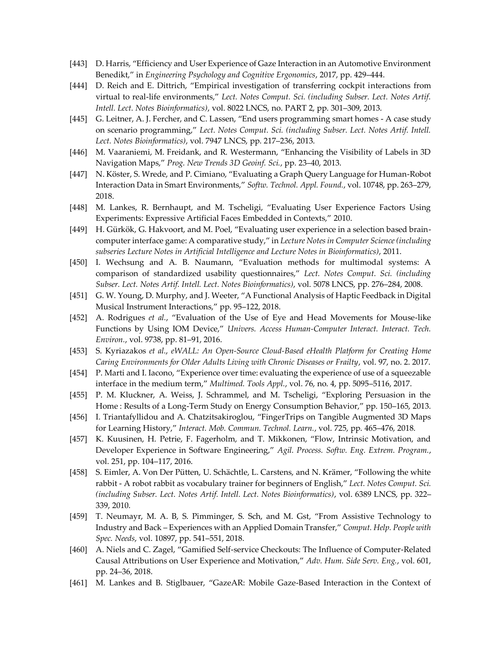- [443] D. Harris, "Efficiency and User Experience of Gaze Interaction in an Automotive Environment Benedikt," in *Engineering Psychology and Cognitive Ergonomics*, 2017, pp. 429–444.
- [444] D. Reich and E. Dittrich, "Empirical investigation of transferring cockpit interactions from virtual to real-life environments," *Lect. Notes Comput. Sci. (including Subser. Lect. Notes Artif. Intell. Lect. Notes Bioinformatics)*, vol. 8022 LNCS, no. PART 2, pp. 301–309, 2013.
- [445] G. Leitner, A. J. Fercher, and C. Lassen, "End users programming smart homes A case study on scenario programming," *Lect. Notes Comput. Sci. (including Subser. Lect. Notes Artif. Intell. Lect. Notes Bioinformatics)*, vol. 7947 LNCS, pp. 217–236, 2013.
- [446] M. Vaaraniemi, M. Freidank, and R. Westermann, "Enhancing the Visibility of Labels in 3D Navigation Maps," *Prog. New Trends 3D Geoinf. Sci.*, pp. 23–40, 2013.
- [447] N. Köster, S. Wrede, and P. Cimiano, "Evaluating a Graph Query Language for Human-Robot Interaction Data in Smart Environments," *Softw. Technol. Appl. Found.*, vol. 10748, pp. 263–279, 2018.
- [448] M. Lankes, R. Bernhaupt, and M. Tscheligi, "Evaluating User Experience Factors Using Experiments: Expressive Artificial Faces Embedded in Contexts," 2010.
- [449] H. Gürkök, G. Hakvoort, and M. Poel, "Evaluating user experience in a selection based braincomputer interface game: A comparative study," in *Lecture Notes in Computer Science (including subseries Lecture Notes in Artificial Intelligence and Lecture Notes in Bioinformatics)*, 2011.
- [450] I. Wechsung and A. B. Naumann, "Evaluation methods for multimodal systems: A comparison of standardized usability questionnaires," *Lect. Notes Comput. Sci. (including Subser. Lect. Notes Artif. Intell. Lect. Notes Bioinformatics)*, vol. 5078 LNCS, pp. 276–284, 2008.
- [451] G. W. Young, D. Murphy, and J. Weeter, "A Functional Analysis of Haptic Feedback in Digital Musical Instrument Interactions," pp. 95–122, 2018.
- [452] A. Rodrigues *et al.*, "Evaluation of the Use of Eye and Head Movements for Mouse-like Functions by Using IOM Device," *Univers. Access Human-Computer Interact. Interact. Tech. Environ.*, vol. 9738, pp. 81–91, 2016.
- [453] S. Kyriazakos *et al.*, *eWALL: An Open-Source Cloud-Based eHealth Platform for Creating Home Caring Environments for Older Adults Living with Chronic Diseases or Frailty*, vol. 97, no. 2. 2017.
- [454] P. Marti and I. Iacono, "Experience over time: evaluating the experience of use of a squeezable interface in the medium term," *Multimed. Tools Appl.*, vol. 76, no. 4, pp. 5095–5116, 2017.
- [455] P. M. Kluckner, A. Weiss, J. Schrammel, and M. Tscheligi, "Exploring Persuasion in the Home : Results of a Long-Term Study on Energy Consumption Behavior," pp. 150–165, 2013.
- [456] I. Triantafyllidou and A. Chatzitsakiroglou, "FingerTrips on Tangible Augmented 3D Maps for Learning History," *Interact. Mob. Commun. Technol. Learn.*, vol. 725, pp. 465–476, 2018.
- [457] K. Kuusinen, H. Petrie, F. Fagerholm, and T. Mikkonen, "Flow, Intrinsic Motivation, and Developer Experience in Software Engineering," *Agil. Process. Softw. Eng. Extrem. Program.*, vol. 251, pp. 104–117, 2016.
- [458] S. Eimler, A. Von Der Pütten, U. Schächtle, L. Carstens, and N. Krämer, "Following the white rabbit - A robot rabbit as vocabulary trainer for beginners of English," *Lect. Notes Comput. Sci. (including Subser. Lect. Notes Artif. Intell. Lect. Notes Bioinformatics)*, vol. 6389 LNCS, pp. 322– 339, 2010.
- [459] T. Neumayr, M. A. B, S. Pimminger, S. Sch, and M. Gst, "From Assistive Technology to Industry and Back – Experiences with an Applied Domain Transfer," *Comput. Help. People with Spec. Needs*, vol. 10897, pp. 541–551, 2018.
- [460] A. Niels and C. Zagel, "Gamified Self-service Checkouts: The Influence of Computer-Related Causal Attributions on User Experience and Motivation," *Adv. Hum. Side Serv. Eng.*, vol. 601, pp. 24–36, 2018.
- [461] M. Lankes and B. Stiglbauer, "GazeAR: Mobile Gaze-Based Interaction in the Context of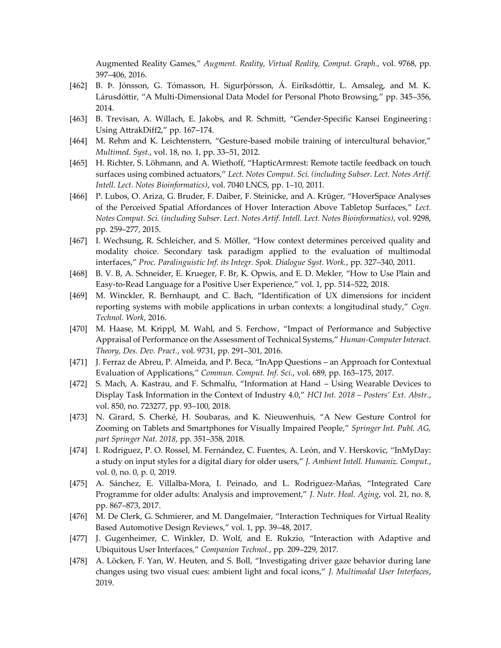Augmented Reality Games," *Augment. Reality, Virtual Reality, Comput. Graph.*, vol. 9768, pp. 397–406, 2016.

- [462] B. Þ. Jónsson, G. Tómasson, H. Sigurþórsson, Á. Eiríksdóttir, L. Amsaleg, and M. K. Lárusdóttir, "A Multi-Dimensional Data Model for Personal Photo Browsing," pp. 345–356, 2014.
- [463] B. Trevisan, A. Willach, E. Jakobs, and R. Schmitt, "Gender-Specific Kansei Engineering: Using AttrakDiff2," pp. 167–174.
- [464] M. Rehm and K. Leichtenstern, "Gesture-based mobile training of intercultural behavior," *Multimed. Syst.*, vol. 18, no. 1, pp. 33–51, 2012.
- [465] H. Richter, S. Löhmann, and A. Wiethoff, "HapticArmrest: Remote tactile feedback on touch surfaces using combined actuators," *Lect. Notes Comput. Sci. (including Subser. Lect. Notes Artif. Intell. Lect. Notes Bioinformatics)*, vol. 7040 LNCS, pp. 1–10, 2011.
- [466] P. Lubos, O. Ariza, G. Bruder, F. Daiber, F. Steinicke, and A. Krüger, "HoverSpace Analyses of the Perceived Spatial Affordances of Hover Interaction Above Tabletop Surfaces," *Lect. Notes Comput. Sci. (including Subser. Lect. Notes Artif. Intell. Lect. Notes Bioinformatics)*, vol. 9298, pp. 259–277, 2015.
- [467] I. Wechsung, R. Schleicher, and S. Möller, "How context determines perceived quality and modality choice. Secondary task paradigm applied to the evaluation of multimodal interfaces," *Proc. Paralinguistic Inf. its Integr. Spok. Dialogue Syst. Work.*, pp. 327–340, 2011.
- [468] B. V. B, A. Schneider, E. Krueger, F. Br, K. Opwis, and E. D. Mekler, "How to Use Plain and Easy-to-Read Language for a Positive User Experience," vol. 1, pp. 514–522, 2018.
- [469] M. Winckler, R. Bernhaupt, and C. Bach, "Identification of UX dimensions for incident reporting systems with mobile applications in urban contexts: a longitudinal study," *Cogn. Technol. Work*, 2016.
- [470] M. Haase, M. Krippl, M. Wahl, and S. Ferchow, "Impact of Performance and Subjective Appraisal of Performance on the Assessment of Technical Systems," *Human-Computer Interact. Theory, Des. Dev. Pract.*, vol. 9731, pp. 291–301, 2016.
- [471] J. Ferraz de Abreu, P. Almeida, and P. Beca, "InApp Questions an Approach for Contextual Evaluation of Applications," *Commun. Comput. Inf. Sci.*, vol. 689, pp. 163–175, 2017.
- [472] S. Mach, A. Kastrau, and F. Schmalfu, "Information at Hand Using Wearable Devices to Display Task Information in the Context of Industry 4.0," *HCI Int. 2018 – Posters' Ext. Abstr.*, vol. 850, no. 723277, pp. 93–100, 2018.
- [473] N. Girard, S. Cherké, H. Soubaras, and K. Nieuwenhuis, "A New Gesture Control for Zooming on Tablets and Smartphones for Visually Impaired People," *Springer Int. Publ. AG, part Springer Nat. 2018*, pp. 351–358, 2018.
- [474] I. Rodriguez, P. O. Rossel, M. Fernández, C. Fuentes, A. León, and V. Herskovic, "InMyDay: a study on input styles for a digital diary for older users," *J. Ambient Intell. Humaniz. Comput.*, vol. 0, no. 0, p. 0, 2019.
- [475] A. Sánchez, E. Villalba-Mora, I. Peinado, and L. Rodriguez-Mañas, "Integrated Care Programme for older adults: Analysis and improvement," *J. Nutr. Heal. Aging*, vol. 21, no. 8, pp. 867–873, 2017.
- [476] M. De Clerk, G. Schmierer, and M. Dangelmaier, "Interaction Techniques for Virtual Reality Based Automotive Design Reviews," vol. 1, pp. 39–48, 2017.
- [477] J. Gugenheimer, C. Winkler, D. Wolf, and E. Rukzio, "Interaction with Adaptive and Ubiquitous User Interfaces," *Companion Technol.*, pp. 209–229, 2017.
- [478] A. Löcken, F. Yan, W. Heuten, and S. Boll, "Investigating driver gaze behavior during lane changes using two visual cues: ambient light and focal icons," *J. Multimodal User Interfaces*, 2019.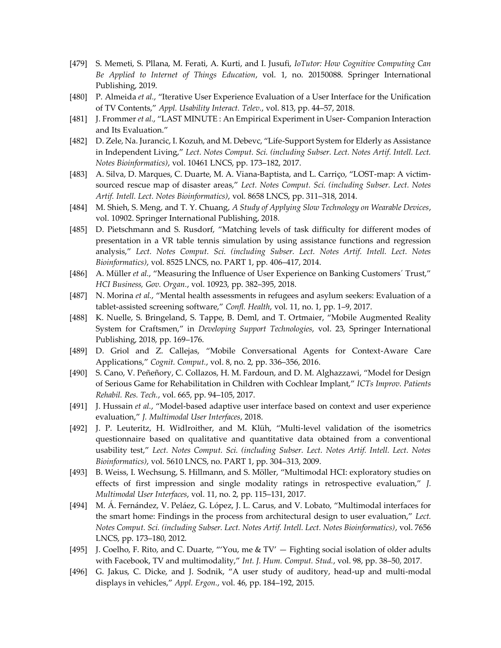- [479] S. Memeti, S. Pllana, M. Ferati, A. Kurti, and I. Jusufi, *IoTutor: How Cognitive Computing Can Be Applied to Internet of Things Education*, vol. 1, no. 20150088. Springer International Publishing, 2019.
- [480] P. Almeida *et al.*, "Iterative User Experience Evaluation of a User Interface for the Unification of TV Contents," *Appl. Usability Interact. Telev.*, vol. 813, pp. 44–57, 2018.
- [481] J. Frommer *et al.*, "LAST MINUTE : An Empirical Experiment in User- Companion Interaction and Its Evaluation."
- [482] D. Zele, Na. Jurancic, I. Kozuh, and M. Debevc, "Life-Support System for Elderly as Assistance in Independent Living," *Lect. Notes Comput. Sci. (including Subser. Lect. Notes Artif. Intell. Lect. Notes Bioinformatics)*, vol. 10461 LNCS, pp. 173–182, 2017.
- [483] A. Silva, D. Marques, C. Duarte, M. A. Viana-Baptista, and L. Carriço, "LOST-map: A victimsourced rescue map of disaster areas," *Lect. Notes Comput. Sci. (including Subser. Lect. Notes Artif. Intell. Lect. Notes Bioinformatics)*, vol. 8658 LNCS, pp. 311–318, 2014.
- [484] M. Shieh, S. Meng, and T. Y. Chuang, *A Study of Applying Slow Technology on Wearable Devices*, vol. 10902. Springer International Publishing, 2018.
- [485] D. Pietschmann and S. Rusdorf, "Matching levels of task difficulty for different modes of presentation in a VR table tennis simulation by using assistance functions and regression analysis," *Lect. Notes Comput. Sci. (including Subser. Lect. Notes Artif. Intell. Lect. Notes Bioinformatics)*, vol. 8525 LNCS, no. PART 1, pp. 406–417, 2014.
- [486] A. Müller *et al.*, "Measuring the Influence of User Experience on Banking Customers´ Trust," *HCI Business, Gov. Organ.*, vol. 10923, pp. 382–395, 2018.
- [487] N. Morina *et al.*, "Mental health assessments in refugees and asylum seekers: Evaluation of a tablet-assisted screening software," *Confl. Health*, vol. 11, no. 1, pp. 1–9, 2017.
- [488] K. Nuelle, S. Bringeland, S. Tappe, B. Deml, and T. Ortmaier, "Mobile Augmented Reality System for Craftsmen," in *Developing Support Technologies*, vol. 23, Springer International Publishing, 2018, pp. 169–176.
- [489] D. Griol and Z. Callejas, "Mobile Conversational Agents for Context-Aware Care Applications," *Cognit. Comput.*, vol. 8, no. 2, pp. 336–356, 2016.
- [490] S. Cano, V. Peñeñory, C. Collazos, H. M. Fardoun, and D. M. Alghazzawi, "Model for Design of Serious Game for Rehabilitation in Children with Cochlear Implant," *ICTs Improv. Patients Rehabil. Res. Tech.*, vol. 665, pp. 94–105, 2017.
- [491] J. Hussain *et al.*, "Model-based adaptive user interface based on context and user experience evaluation," *J. Multimodal User Interfaces*, 2018.
- [492] J. P. Leuteritz, H. Widlroither, and M. Klüh, "Multi-level validation of the isometrics questionnaire based on qualitative and quantitative data obtained from a conventional usability test," *Lect. Notes Comput. Sci. (including Subser. Lect. Notes Artif. Intell. Lect. Notes Bioinformatics)*, vol. 5610 LNCS, no. PART 1, pp. 304–313, 2009.
- [493] B. Weiss, I. Wechsung, S. Hillmann, and S. Möller, "Multimodal HCI: exploratory studies on effects of first impression and single modality ratings in retrospective evaluation," *J. Multimodal User Interfaces*, vol. 11, no. 2, pp. 115–131, 2017.
- [494] M. Á. Fernández, V. Peláez, G. López, J. L. Carus, and V. Lobato, "Multimodal interfaces for the smart home: Findings in the process from architectural design to user evaluation," *Lect. Notes Comput. Sci. (including Subser. Lect. Notes Artif. Intell. Lect. Notes Bioinformatics)*, vol. 7656 LNCS, pp. 173–180, 2012.
- [495] J. Coelho, F. Rito, and C. Duarte, "'You, me & TV' Fighting social isolation of older adults with Facebook, TV and multimodality," *Int. J. Hum. Comput. Stud.*, vol. 98, pp. 38–50, 2017.
- [496] G. Jakus, C. Dicke, and J. Sodnik, "A user study of auditory, head-up and multi-modal displays in vehicles," *Appl. Ergon.*, vol. 46, pp. 184–192, 2015.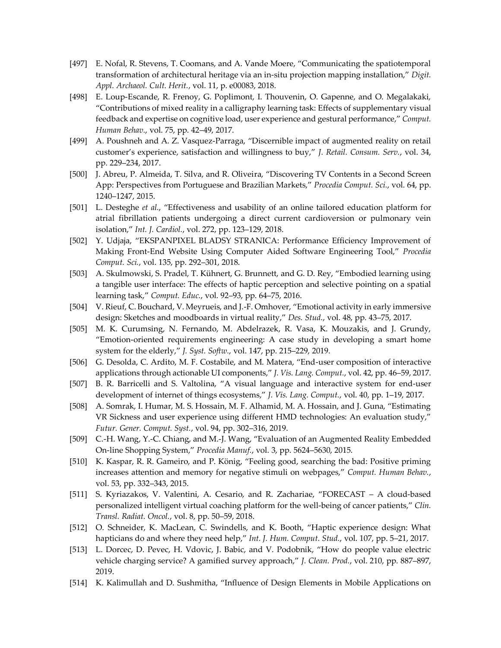- [497] E. Nofal, R. Stevens, T. Coomans, and A. Vande Moere, "Communicating the spatiotemporal transformation of architectural heritage via an in-situ projection mapping installation," *Digit. Appl. Archaeol. Cult. Herit.*, vol. 11, p. e00083, 2018.
- [498] E. Loup-Escande, R. Frenoy, G. Poplimont, I. Thouvenin, O. Gapenne, and O. Megalakaki, "Contributions of mixed reality in a calligraphy learning task: Effects of supplementary visual feedback and expertise on cognitive load, user experience and gestural performance," *Comput. Human Behav.*, vol. 75, pp. 42–49, 2017.
- [499] A. Poushneh and A. Z. Vasquez-Parraga, "Discernible impact of augmented reality on retail customer's experience, satisfaction and willingness to buy," *J. Retail. Consum. Serv.*, vol. 34, pp. 229–234, 2017.
- [500] J. Abreu, P. Almeida, T. Silva, and R. Oliveira, "Discovering TV Contents in a Second Screen App: Perspectives from Portuguese and Brazilian Markets," *Procedia Comput. Sci.*, vol. 64, pp. 1240–1247, 2015.
- [501] L. Desteghe *et al.*, "Effectiveness and usability of an online tailored education platform for atrial fibrillation patients undergoing a direct current cardioversion or pulmonary vein isolation," *Int. J. Cardiol.*, vol. 272, pp. 123–129, 2018.
- [502] Y. Udjaja, "EKSPANPIXEL BLADSY STRANICA: Performance Efficiency Improvement of Making Front-End Website Using Computer Aided Software Engineering Tool," *Procedia Comput. Sci.*, vol. 135, pp. 292–301, 2018.
- [503] A. Skulmowski, S. Pradel, T. Kühnert, G. Brunnett, and G. D. Rey, "Embodied learning using a tangible user interface: The effects of haptic perception and selective pointing on a spatial learning task," *Comput. Educ.*, vol. 92–93, pp. 64–75, 2016.
- [504] V. Rieuf, C. Bouchard, V. Meyrueis, and J.-F. Omhover, "Emotional activity in early immersive design: Sketches and moodboards in virtual reality," *Des. Stud.*, vol. 48, pp. 43–75, 2017.
- [505] M. K. Curumsing, N. Fernando, M. Abdelrazek, R. Vasa, K. Mouzakis, and J. Grundy, "Emotion-oriented requirements engineering: A case study in developing a smart home system for the elderly," *J. Syst. Softw.*, vol. 147, pp. 215–229, 2019.
- [506] G. Desolda, C. Ardito, M. F. Costabile, and M. Matera, "End-user composition of interactive applications through actionable UI components," *J. Vis. Lang. Comput.*, vol. 42, pp. 46–59, 2017.
- [507] B. R. Barricelli and S. Valtolina, "A visual language and interactive system for end-user development of internet of things ecosystems," *J. Vis. Lang. Comput.*, vol. 40, pp. 1–19, 2017.
- [508] A. Somrak, I. Humar, M. S. Hossain, M. F. Alhamid, M. A. Hossain, and J. Guna, "Estimating VR Sickness and user experience using different HMD technologies: An evaluation study," *Futur. Gener. Comput. Syst.*, vol. 94, pp. 302–316, 2019.
- [509] C.-H. Wang, Y.-C. Chiang, and M.-J. Wang, "Evaluation of an Augmented Reality Embedded On-line Shopping System," *Procedia Manuf.*, vol. 3, pp. 5624–5630, 2015.
- [510] K. Kaspar, R. R. Gameiro, and P. König, "Feeling good, searching the bad: Positive priming increases attention and memory for negative stimuli on webpages," *Comput. Human Behav.*, vol. 53, pp. 332–343, 2015.
- [511] S. Kyriazakos, V. Valentini, A. Cesario, and R. Zachariae, "FORECAST A cloud-based personalized intelligent virtual coaching platform for the well-being of cancer patients," *Clin. Transl. Radiat. Oncol.*, vol. 8, pp. 50–59, 2018.
- [512] O. Schneider, K. MacLean, C. Swindells, and K. Booth, "Haptic experience design: What hapticians do and where they need help," *Int. J. Hum. Comput. Stud.*, vol. 107, pp. 5–21, 2017.
- [513] L. Dorcec, D. Pevec, H. Vdovic, J. Babic, and V. Podobnik, "How do people value electric vehicle charging service? A gamified survey approach," *J. Clean. Prod.*, vol. 210, pp. 887–897, 2019.
- [514] K. Kalimullah and D. Sushmitha, "Influence of Design Elements in Mobile Applications on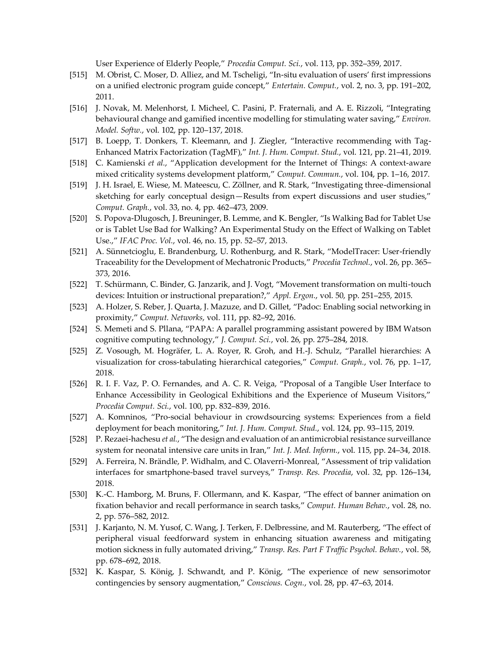User Experience of Elderly People," *Procedia Comput. Sci.*, vol. 113, pp. 352–359, 2017.

- [515] M. Obrist, C. Moser, D. Alliez, and M. Tscheligi, "In-situ evaluation of users' first impressions on a unified electronic program guide concept," *Entertain. Comput.*, vol. 2, no. 3, pp. 191–202, 2011.
- [516] J. Novak, M. Melenhorst, I. Micheel, C. Pasini, P. Fraternali, and A. E. Rizzoli, "Integrating behavioural change and gamified incentive modelling for stimulating water saving," *Environ. Model. Softw.*, vol. 102, pp. 120–137, 2018.
- [517] B. Loepp, T. Donkers, T. Kleemann, and J. Ziegler, "Interactive recommending with Tag-Enhanced Matrix Factorization (TagMF)," *Int. J. Hum. Comput. Stud.*, vol. 121, pp. 21–41, 2019.
- [518] C. Kamienski *et al.*, "Application development for the Internet of Things: A context-aware mixed criticality systems development platform," *Comput. Commun.*, vol. 104, pp. 1–16, 2017.
- [519] J. H. Israel, E. Wiese, M. Mateescu, C. Zöllner, and R. Stark, "Investigating three-dimensional sketching for early conceptual design—Results from expert discussions and user studies," *Comput. Graph.*, vol. 33, no. 4, pp. 462–473, 2009.
- [520] S. Popova-Dlugosch, J. Breuninger, B. Lemme, and K. Bengler, "Is Walking Bad for Tablet Use or is Tablet Use Bad for Walking? An Experimental Study on the Effect of Walking on Tablet Use.," *IFAC Proc. Vol.*, vol. 46, no. 15, pp. 52–57, 2013.
- [521] A. Sünnetcioglu, E. Brandenburg, U. Rothenburg, and R. Stark, "ModelTracer: User-friendly Traceability for the Development of Mechatronic Products," *Procedia Technol.*, vol. 26, pp. 365– 373, 2016.
- [522] T. Schürmann, C. Binder, G. Janzarik, and J. Vogt, "Movement transformation on multi-touch devices: Intuition or instructional preparation?," *Appl. Ergon.*, vol. 50, pp. 251–255, 2015.
- [523] A. Holzer, S. Reber, J. Quarta, J. Mazuze, and D. Gillet, "Padoc: Enabling social networking in proximity," *Comput. Networks*, vol. 111, pp. 82–92, 2016.
- [524] S. Memeti and S. Pllana, "PAPA: A parallel programming assistant powered by IBM Watson cognitive computing technology," *J. Comput. Sci.*, vol. 26, pp. 275–284, 2018.
- [525] Z. Vosough, M. Hogräfer, L. A. Royer, R. Groh, and H.-J. Schulz, "Parallel hierarchies: A visualization for cross-tabulating hierarchical categories," *Comput. Graph.*, vol. 76, pp. 1–17, 2018.
- [526] R. I. F. Vaz, P. O. Fernandes, and A. C. R. Veiga, "Proposal of a Tangible User Interface to Enhance Accessibility in Geological Exhibitions and the Experience of Museum Visitors," *Procedia Comput. Sci.*, vol. 100, pp. 832–839, 2016.
- [527] A. Komninos, "Pro-social behaviour in crowdsourcing systems: Experiences from a field deployment for beach monitoring," *Int. J. Hum. Comput. Stud.*, vol. 124, pp. 93–115, 2019.
- [528] P. Rezaei-hachesu *et al.*, "The design and evaluation of an antimicrobial resistance surveillance system for neonatal intensive care units in Iran," *Int. J. Med. Inform.*, vol. 115, pp. 24–34, 2018.
- [529] A. Ferreira, N. Brändle, P. Widhalm, and C. Olaverri-Monreal, "Assessment of trip validation interfaces for smartphone-based travel surveys," *Transp. Res. Procedia*, vol. 32, pp. 126–134, 2018.
- [530] K.-C. Hamborg, M. Bruns, F. Ollermann, and K. Kaspar, "The effect of banner animation on fixation behavior and recall performance in search tasks," *Comput. Human Behav.*, vol. 28, no. 2, pp. 576–582, 2012.
- [531] J. Karjanto, N. M. Yusof, C. Wang, J. Terken, F. Delbressine, and M. Rauterberg, "The effect of peripheral visual feedforward system in enhancing situation awareness and mitigating motion sickness in fully automated driving," *Transp. Res. Part F Traffic Psychol. Behav.*, vol. 58, pp. 678–692, 2018.
- [532] K. Kaspar, S. König, J. Schwandt, and P. König, "The experience of new sensorimotor contingencies by sensory augmentation," *Conscious. Cogn.*, vol. 28, pp. 47–63, 2014.